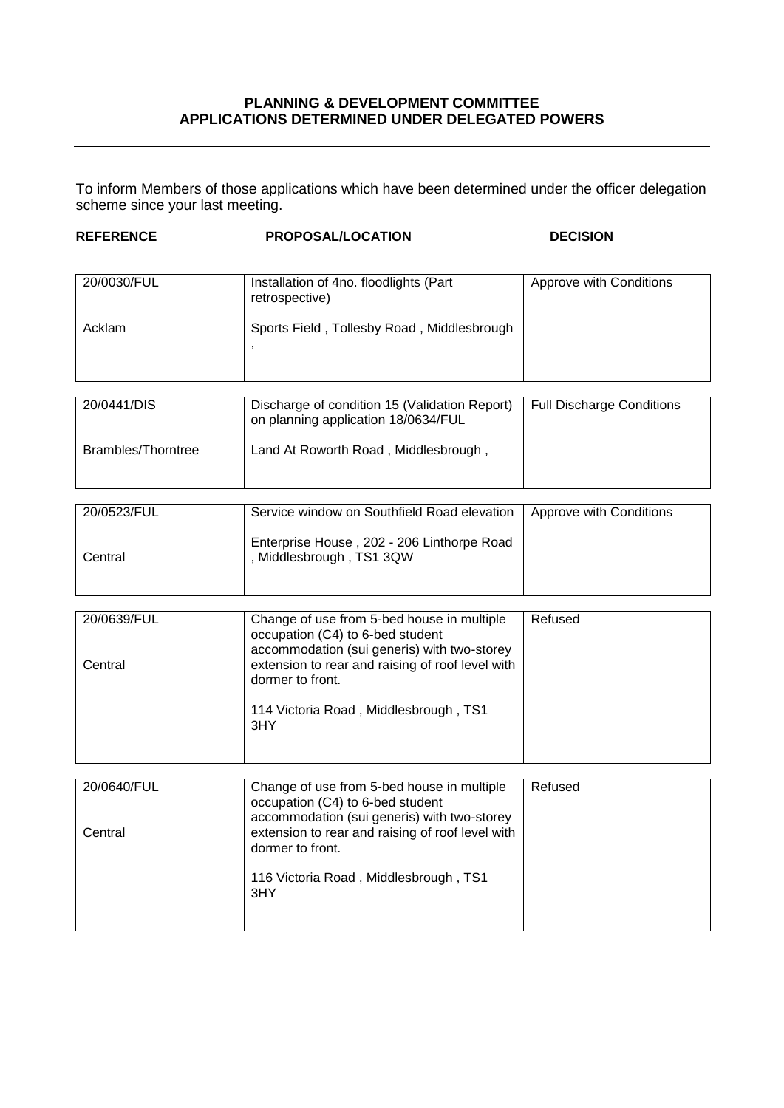## **PLANNING & DEVELOPMENT COMMITTEE APPLICATIONS DETERMINED UNDER DELEGATED POWERS**

To inform Members of those applications which have been determined under the officer delegation scheme since your last meeting.

| <b>REFERENCE</b>   | <b>PROPOSAL/LOCATION</b>                                                             | <b>DECISION</b>                  |
|--------------------|--------------------------------------------------------------------------------------|----------------------------------|
|                    |                                                                                      |                                  |
| 20/0030/FUL        | Installation of 4no. floodlights (Part<br>retrospective)                             | Approve with Conditions          |
| Acklam             | Sports Field, Tollesby Road, Middlesbrough                                           |                                  |
|                    |                                                                                      |                                  |
|                    |                                                                                      |                                  |
|                    |                                                                                      |                                  |
| 20/0441/DIS        | Discharge of condition 15 (Validation Report)<br>on planning application 18/0634/FUL | <b>Full Discharge Conditions</b> |
| Brambles/Thorntree | Land At Roworth Road, Middlesbrough,                                                 |                                  |
|                    |                                                                                      |                                  |

| 20/0523/FUL | Service window on Southfield Road elevation                          | Approve with Conditions |
|-------------|----------------------------------------------------------------------|-------------------------|
| Central     | Enterprise House, 202 - 206 Linthorpe Road<br>Middlesbrough, TS1 3QW |                         |

| 20/0639/FUL | Change of use from 5-bed house in multiple       | Refused |
|-------------|--------------------------------------------------|---------|
|             | occupation (C4) to 6-bed student                 |         |
|             | accommodation (sui generis) with two-storey      |         |
| Central     | extension to rear and raising of roof level with |         |
|             |                                                  |         |
|             | dormer to front.                                 |         |
|             |                                                  |         |
|             | 114 Victoria Road, Middlesbrough, TS1            |         |
|             | 3HY                                              |         |
|             |                                                  |         |
|             |                                                  |         |
|             |                                                  |         |

| 20/0640/FUL | Change of use from 5-bed house in multiple<br>occupation (C4) to 6-bed student                                      | Refused |
|-------------|---------------------------------------------------------------------------------------------------------------------|---------|
| Central     | accommodation (sui generis) with two-storey<br>extension to rear and raising of roof level with<br>dormer to front. |         |
|             | 116 Victoria Road, Middlesbrough, TS1                                                                               |         |
|             | 3HY                                                                                                                 |         |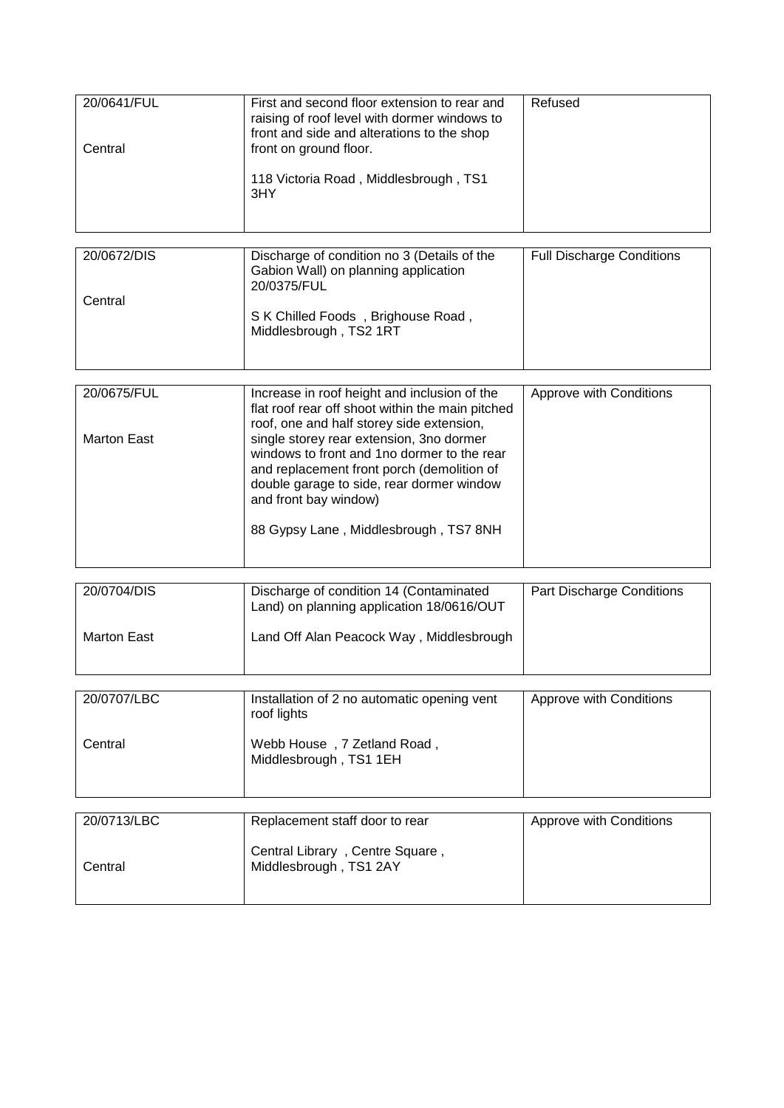| 20/0641/FUL<br>Central | First and second floor extension to rear and<br>raising of roof level with dormer windows to<br>front and side and alterations to the shop<br>front on ground floor.<br>118 Victoria Road, Middlesbrough, TS1<br>3HY | Refused                          |
|------------------------|----------------------------------------------------------------------------------------------------------------------------------------------------------------------------------------------------------------------|----------------------------------|
| 20/0672/DIS            | Discharge of condition no 3 (Details of the                                                                                                                                                                          | <b>Full Discharge Conditions</b> |
|                        | Gabion Wall) on planning application<br>20/0375/FUL                                                                                                                                                                  |                                  |
| Central                | S K Chilled Foods, Brighouse Road,                                                                                                                                                                                   |                                  |
|                        | Middlesbrough, TS2 1RT                                                                                                                                                                                               |                                  |
|                        |                                                                                                                                                                                                                      |                                  |
| 20/0675/FUL            | Increase in roof height and inclusion of the                                                                                                                                                                         | Approve with Conditions          |
|                        | flat roof rear off shoot within the main pitched<br>roof, one and half storey side extension,                                                                                                                        |                                  |
| <b>Marton East</b>     | single storey rear extension, 3no dormer<br>windows to front and 1no dormer to the rear                                                                                                                              |                                  |
|                        | and replacement front porch (demolition of                                                                                                                                                                           |                                  |
|                        | double garage to side, rear dormer window<br>and front bay window)                                                                                                                                                   |                                  |
|                        | 88 Gypsy Lane, Middlesbrough, TS7 8NH                                                                                                                                                                                |                                  |
|                        |                                                                                                                                                                                                                      |                                  |
| 20/0704/DIS            | Discharge of condition 14 (Contaminated                                                                                                                                                                              | Part Discharge Conditions        |
|                        | Land) on planning application 18/0616/OUT                                                                                                                                                                            |                                  |
| <b>Marton East</b>     | Land Off Alan Peacock Way, Middlesbrough                                                                                                                                                                             |                                  |
|                        |                                                                                                                                                                                                                      |                                  |
| 20/0707/LBC            | Installation of 2 no automatic opening vent                                                                                                                                                                          | Approve with Conditions          |
|                        | roof lights                                                                                                                                                                                                          |                                  |
| Central                | Webb House, 7 Zetland Road,                                                                                                                                                                                          |                                  |
|                        | Middlesbrough, TS1 1EH                                                                                                                                                                                               |                                  |
|                        |                                                                                                                                                                                                                      |                                  |
| 20/0713/LBC            | Replacement staff door to rear                                                                                                                                                                                       | Approve with Conditions          |
| Central                | Central Library, Centre Square,<br>Middlesbrough, TS1 2AY                                                                                                                                                            |                                  |
|                        |                                                                                                                                                                                                                      |                                  |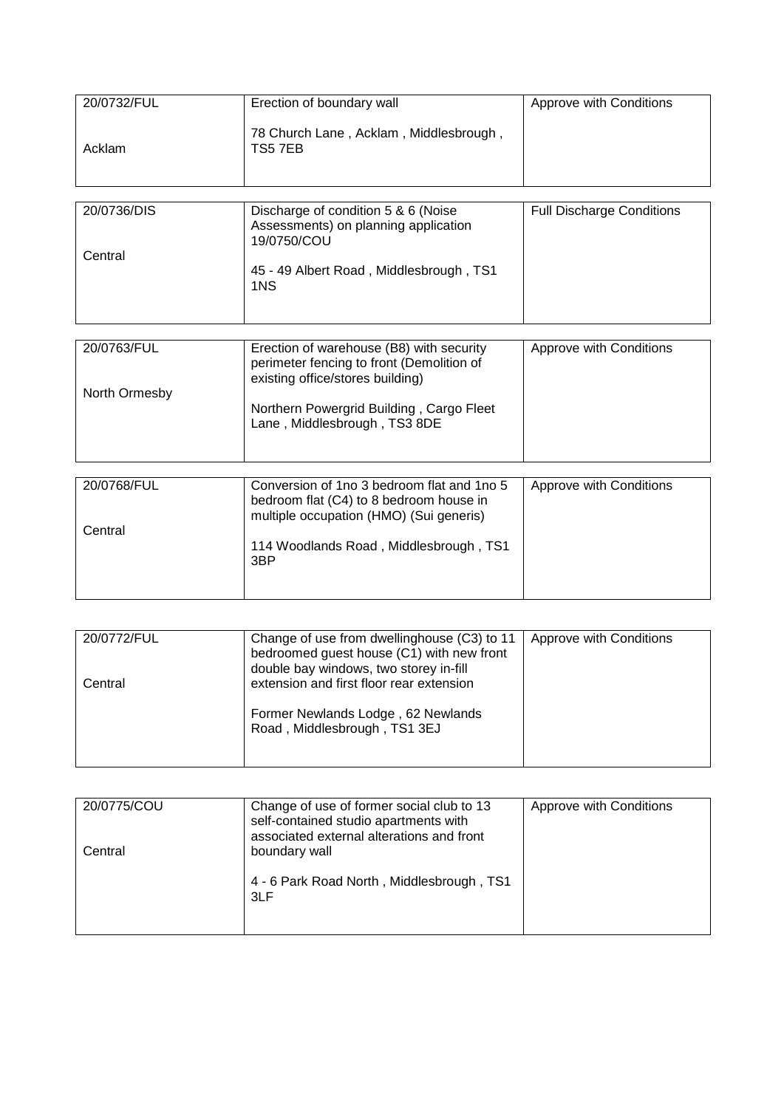| 20/0732/FUL            |                                                                                                                                  |                                  |
|------------------------|----------------------------------------------------------------------------------------------------------------------------------|----------------------------------|
|                        | Erection of boundary wall                                                                                                        | Approve with Conditions          |
| Acklam                 | 78 Church Lane, Acklam, Middlesbrough,<br>TS57EB                                                                                 |                                  |
|                        |                                                                                                                                  |                                  |
| 20/0736/DIS<br>Central | Discharge of condition 5 & 6 (Noise<br>Assessments) on planning application<br>19/0750/COU                                       | <b>Full Discharge Conditions</b> |
|                        | 45 - 49 Albert Road, Middlesbrough, TS1<br>1NS                                                                                   |                                  |
|                        |                                                                                                                                  |                                  |
| 20/0763/FUL            | Erection of warehouse (B8) with security<br>perimeter fencing to front (Demolition of<br>existing office/stores building)        | Approve with Conditions          |
| North Ormesby          |                                                                                                                                  |                                  |
|                        | Northern Powergrid Building, Cargo Fleet<br>Lane, Middlesbrough, TS3 8DE                                                         |                                  |
|                        |                                                                                                                                  |                                  |
|                        |                                                                                                                                  |                                  |
| 20/0768/FUL            | Conversion of 1no 3 bedroom flat and 1no 5<br>bedroom flat (C4) to 8 bedroom house in<br>multiple occupation (HMO) (Sui generis) | Approve with Conditions          |
| Central                |                                                                                                                                  |                                  |
|                        | 114 Woodlands Road, Middlesbrough, TS1<br>3BP                                                                                    |                                  |

| 20/0772/FUL | Change of use from dwellinghouse (C3) to 11<br>bedroomed guest house (C1) with new front | Approve with Conditions |
|-------------|------------------------------------------------------------------------------------------|-------------------------|
| Central     | double bay windows, two storey in-fill<br>extension and first floor rear extension       |                         |
|             | Former Newlands Lodge, 62 Newlands<br>Road, Middlesbrough, TS1 3EJ                       |                         |

| 20/0775/COU | Change of use of former social club to 13<br>self-contained studio apartments with<br>associated external alterations and front | Approve with Conditions |
|-------------|---------------------------------------------------------------------------------------------------------------------------------|-------------------------|
| Central     | boundary wall<br>4 - 6 Park Road North, Middlesbrough, TS1<br>3LF                                                               |                         |
|             |                                                                                                                                 |                         |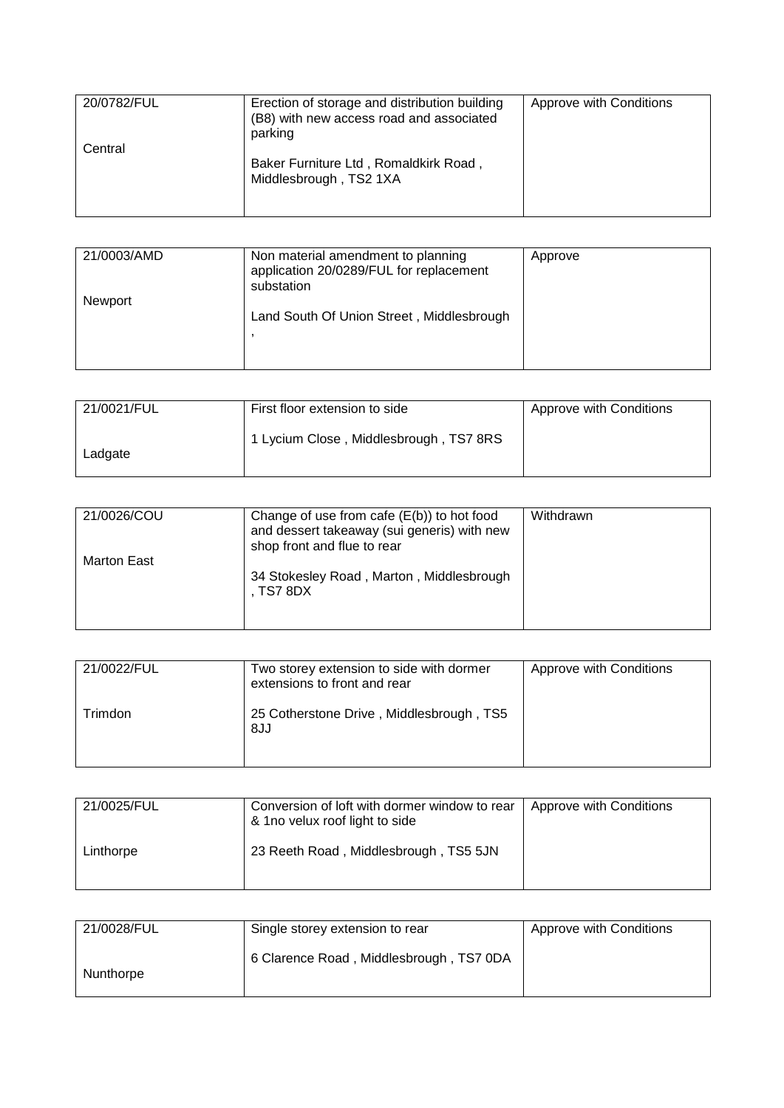| 20/0782/FUL | Erection of storage and distribution building<br>(B8) with new access road and associated<br>parking | Approve with Conditions |
|-------------|------------------------------------------------------------------------------------------------------|-------------------------|
| Central     | Baker Furniture Ltd, Romaldkirk Road,<br>Middlesbrough, TS2 1XA                                      |                         |

| 21/0003/AMD    | Non material amendment to planning<br>application 20/0289/FUL for replacement<br>substation | Approve |
|----------------|---------------------------------------------------------------------------------------------|---------|
| <b>Newport</b> | Land South Of Union Street, Middlesbrough                                                   |         |

| 21/0021/FUL | First floor extension to side          | Approve with Conditions |
|-------------|----------------------------------------|-------------------------|
| Ladgate     | 1 Lycium Close, Middlesbrough, TS7 8RS |                         |

| 21/0026/COU        | Change of use from cafe $(E(b))$ to hot food<br>and dessert takeaway (sui generis) with new<br>shop front and flue to rear | Withdrawn |
|--------------------|----------------------------------------------------------------------------------------------------------------------------|-----------|
| <b>Marton East</b> | 34 Stokesley Road, Marton, Middlesbrough<br>. TS7 8DX                                                                      |           |

| 21/0022/FUL | Two storey extension to side with dormer<br>extensions to front and rear | Approve with Conditions |
|-------------|--------------------------------------------------------------------------|-------------------------|
| rimdon.     | 25 Cotherstone Drive, Middlesbrough, TS5<br>8JJ                          |                         |

| 21/0025/FUL | Conversion of loft with dormer window to rear<br>& 1no velux roof light to side | Approve with Conditions |
|-------------|---------------------------------------------------------------------------------|-------------------------|
| Linthorpe   | 23 Reeth Road, Middlesbrough, TS5 5JN                                           |                         |

| 21/0028/FUL | Single storey extension to rear         | Approve with Conditions |
|-------------|-----------------------------------------|-------------------------|
| Nunthorpe   | 6 Clarence Road, Middlesbrough, TS7 0DA |                         |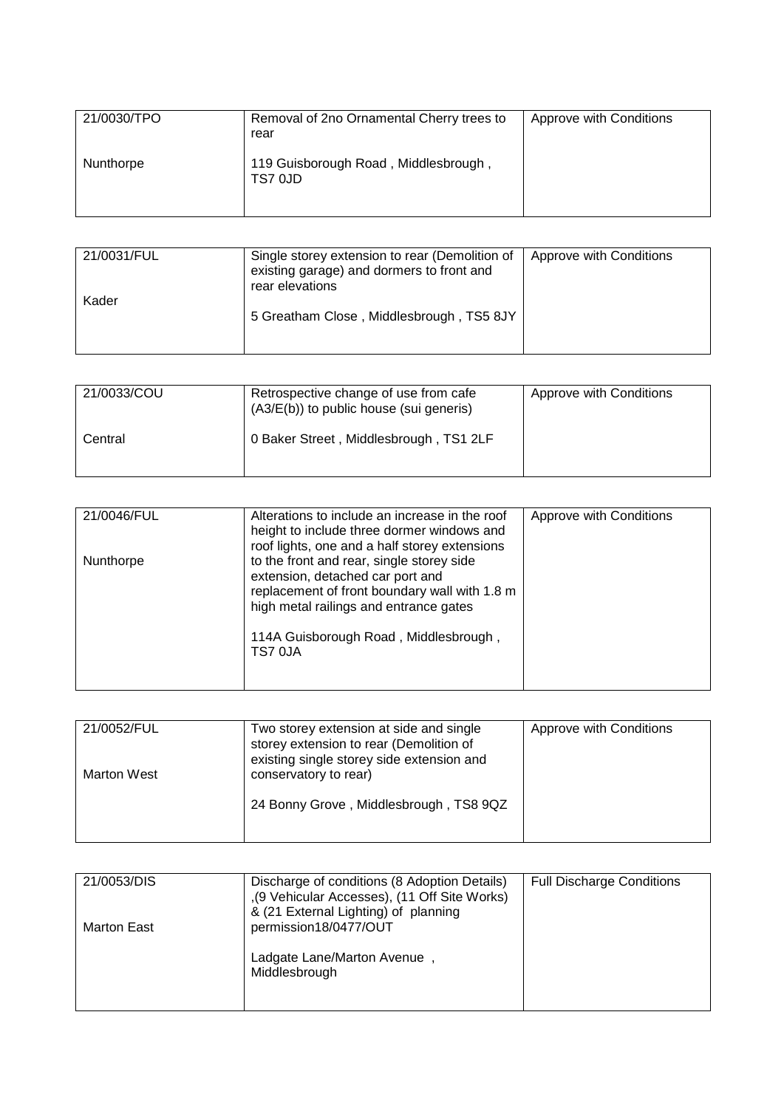| 21/0030/TPO | Removal of 2no Ornamental Cherry trees to<br>rear | Approve with Conditions |
|-------------|---------------------------------------------------|-------------------------|
| Nunthorpe   | 119 Guisborough Road, Middlesbrough,<br>TS7 0JD   |                         |

| 21/0031/FUL | Single storey extension to rear (Demolition of<br>existing garage) and dormers to front and<br>rear elevations | Approve with Conditions |
|-------------|----------------------------------------------------------------------------------------------------------------|-------------------------|
| Kader       | 5 Greatham Close, Middlesbrough, TS5 8JY                                                                       |                         |

| 21/0033/COU | Retrospective change of use from cafe<br>(A3/E(b)) to public house (sui generis) | Approve with Conditions |
|-------------|----------------------------------------------------------------------------------|-------------------------|
| Central     | 0 Baker Street, Middlesbrough, TS1 2LF                                           |                         |

| 21/0046/FUL | Alterations to include an increase in the roof<br>height to include three dormer windows and<br>roof lights, one and a half storey extensions                                                                                | Approve with Conditions |
|-------------|------------------------------------------------------------------------------------------------------------------------------------------------------------------------------------------------------------------------------|-------------------------|
| Nunthorpe   | to the front and rear, single storey side<br>extension, detached car port and<br>replacement of front boundary wall with 1.8 m<br>high metal railings and entrance gates<br>114A Guisborough Road, Middlesbrough,<br>TS7 0JA |                         |

| 21/0052/FUL        | Two storey extension at side and single<br>storey extension to rear (Demolition of<br>existing single storey side extension and | Approve with Conditions |
|--------------------|---------------------------------------------------------------------------------------------------------------------------------|-------------------------|
| <b>Marton West</b> | conservatory to rear)                                                                                                           |                         |
|                    | 24 Bonny Grove, Middlesbrough, TS8 9QZ                                                                                          |                         |

| 21/0053/DIS | Discharge of conditions (8 Adoption Details)<br>,(9 Vehicular Accesses), (11 Off Site Works)<br>& (21 External Lighting) of planning | <b>Full Discharge Conditions</b> |
|-------------|--------------------------------------------------------------------------------------------------------------------------------------|----------------------------------|
| Marton East | permission18/0477/OUT                                                                                                                |                                  |
|             | Ladgate Lane/Marton Avenue,<br>Middlesbrough                                                                                         |                                  |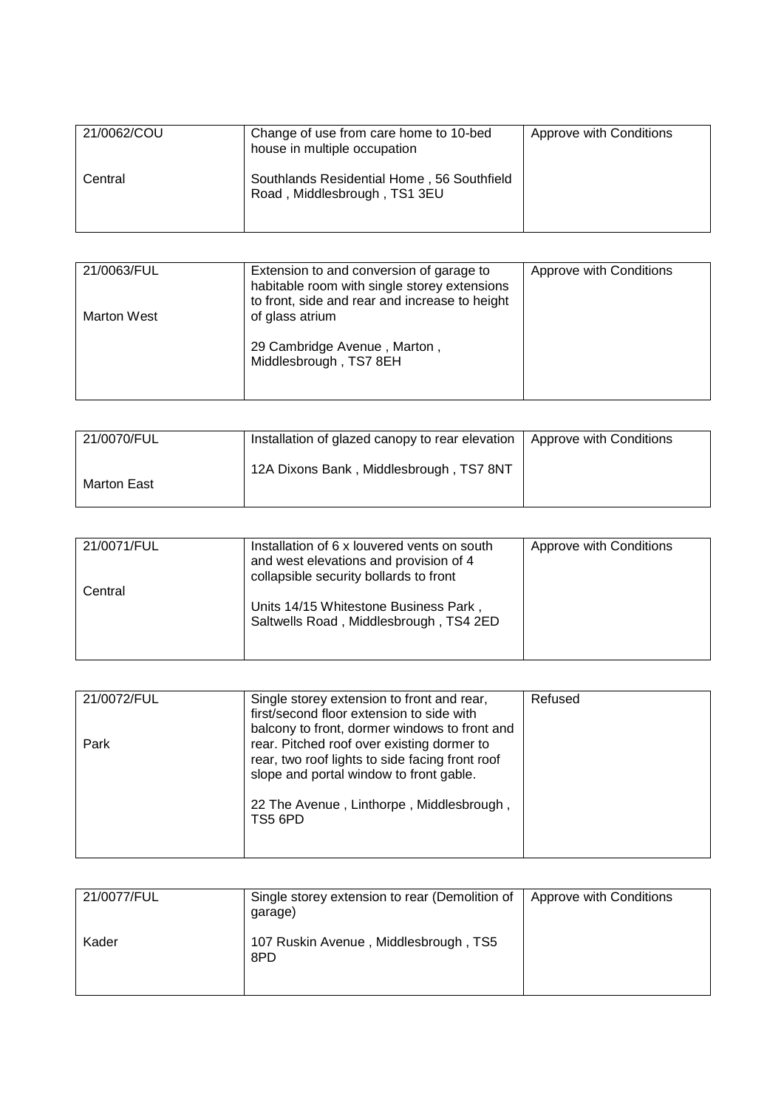| 21/0062/COU | Change of use from care home to 10-bed<br>house in multiple occupation     | Approve with Conditions |
|-------------|----------------------------------------------------------------------------|-------------------------|
| Central     | Southlands Residential Home, 56 Southfield<br>Road, Middlesbrough, TS1 3EU |                         |

| 21/0063/FUL | Extension to and conversion of garage to<br>habitable room with single storey extensions<br>to front, side and rear and increase to height | Approve with Conditions |
|-------------|--------------------------------------------------------------------------------------------------------------------------------------------|-------------------------|
| Marton West | of glass atrium                                                                                                                            |                         |
|             | 29 Cambridge Avenue, Marton,<br>Middlesbrough, TS7 8EH                                                                                     |                         |
|             |                                                                                                                                            |                         |

| 21/0070/FUL | Installation of glazed canopy to rear elevation | Approve with Conditions |
|-------------|-------------------------------------------------|-------------------------|
| Marton East | 12A Dixons Bank, Middlesbrough, TS7 8NT         |                         |

| 21/0071/FUL | Installation of 6 x louvered vents on south<br>and west elevations and provision of 4<br>collapsible security bollards to front | Approve with Conditions |
|-------------|---------------------------------------------------------------------------------------------------------------------------------|-------------------------|
| Central     | Units 14/15 Whitestone Business Park,<br>Saltwells Road, Middlesbrough, TS4 2ED                                                 |                         |

| 21/0072/FUL | Single storey extension to front and rear,<br>first/second floor extension to side with<br>balcony to front, dormer windows to front and                                                        | Refused |
|-------------|-------------------------------------------------------------------------------------------------------------------------------------------------------------------------------------------------|---------|
| Park        | rear. Pitched roof over existing dormer to<br>rear, two roof lights to side facing front roof<br>slope and portal window to front gable.<br>22 The Avenue, Linthorpe, Middlesbrough,<br>TS5 6PD |         |

| 21/0077/FUL | Single storey extension to rear (Demolition of<br>garage) | Approve with Conditions |
|-------------|-----------------------------------------------------------|-------------------------|
| Kader       | 107 Ruskin Avenue, Middlesbrough, TS5<br>8PD              |                         |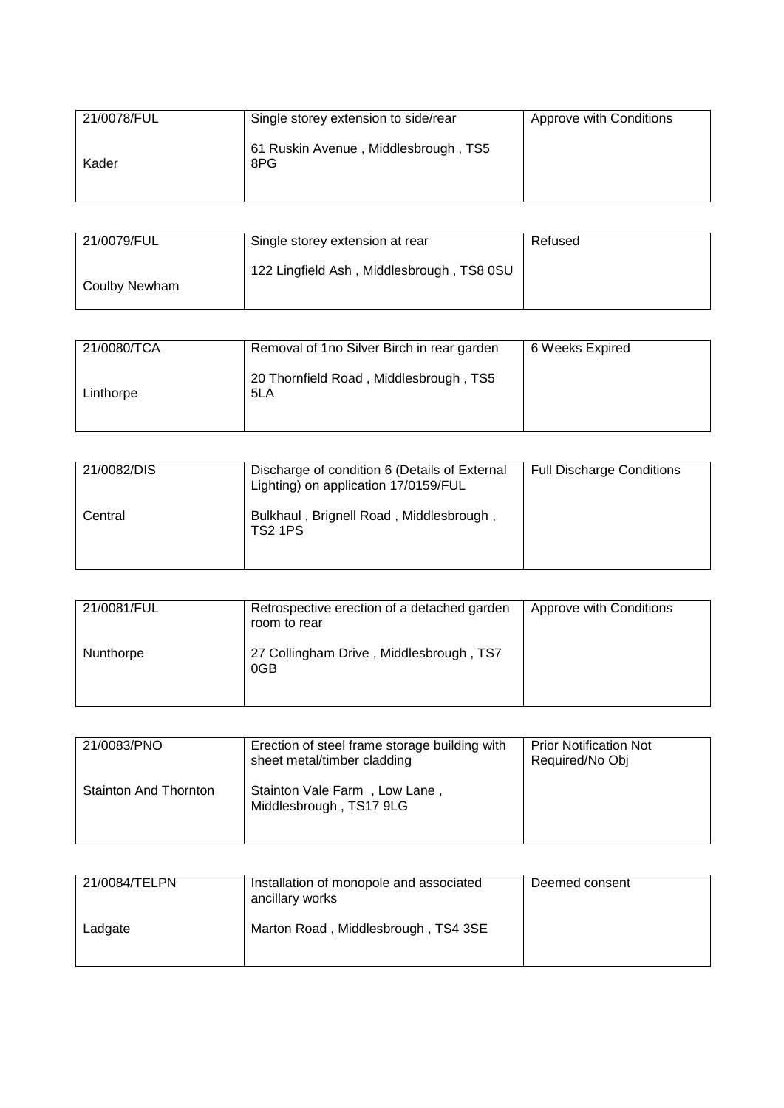| 21/0078/FUL | Single storey extension to side/rear        | Approve with Conditions |
|-------------|---------------------------------------------|-------------------------|
| Kader       | 61 Ruskin Avenue, Middlesbrough, TS5<br>8PG |                         |

| 21/0079/FUL   | Single storey extension at rear           | Refused |
|---------------|-------------------------------------------|---------|
| Coulby Newham | 122 Lingfield Ash, Middlesbrough, TS8 0SU |         |

| 21/0080/TCA | Removal of 1no Silver Birch in rear garden    | 6 Weeks Expired |
|-------------|-----------------------------------------------|-----------------|
| Linthorpe   | 20 Thornfield Road, Middlesbrough, TS5<br>5LA |                 |

| 21/0082/DIS | Discharge of condition 6 (Details of External<br>Lighting) on application 17/0159/FUL | <b>Full Discharge Conditions</b> |
|-------------|---------------------------------------------------------------------------------------|----------------------------------|
| Central     | Bulkhaul, Brignell Road, Middlesbrough,<br><b>TS2 1PS</b>                             |                                  |

| 21/0081/FUL | Retrospective erection of a detached garden<br>room to rear | Approve with Conditions |
|-------------|-------------------------------------------------------------|-------------------------|
| Nunthorpe   | 27 Collingham Drive, Middlesbrough, TS7<br>0GB              |                         |

| 21/0083/PNO           | Erection of steel frame storage building with<br>sheet metal/timber cladding | <b>Prior Notification Not</b><br>Required/No Obj |
|-----------------------|------------------------------------------------------------------------------|--------------------------------------------------|
| Stainton And Thornton | Stainton Vale Farm, Low Lane,<br>Middlesbrough, TS17 9LG                     |                                                  |

| 21/0084/TELPN | Installation of monopole and associated<br>ancillary works | Deemed consent |
|---------------|------------------------------------------------------------|----------------|
| Ladgate       | Marton Road, Middlesbrough, TS4 3SE                        |                |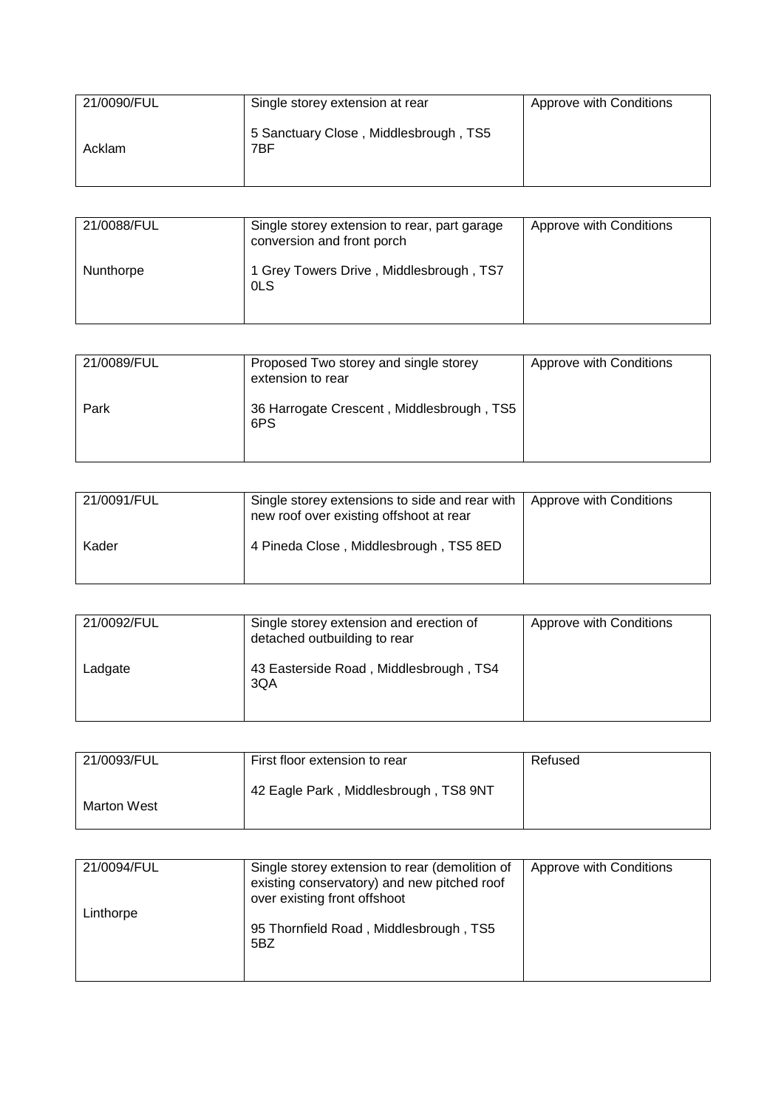| 21/0090/FUL | Single storey extension at rear              | Approve with Conditions |
|-------------|----------------------------------------------|-------------------------|
| Acklam      | 5 Sanctuary Close, Middlesbrough, TS5<br>7BF |                         |

| 21/0088/FUL | Single storey extension to rear, part garage<br>conversion and front porch | Approve with Conditions |
|-------------|----------------------------------------------------------------------------|-------------------------|
| Nunthorpe   | 1 Grey Towers Drive, Middlesbrough, TS7<br>0LS                             |                         |

| 21/0089/FUL | Proposed Two storey and single storey<br>extension to rear | Approve with Conditions |
|-------------|------------------------------------------------------------|-------------------------|
| Park        | 36 Harrogate Crescent, Middlesbrough, TS5<br>6PS           |                         |

| 21/0091/FUL | Single storey extensions to side and rear with   Approve with Conditions<br>new roof over existing offshoot at rear |  |
|-------------|---------------------------------------------------------------------------------------------------------------------|--|
| Kader       | 4 Pineda Close, Middlesbrough, TS5 8ED                                                                              |  |

| 21/0092/FUL | Single storey extension and erection of<br>detached outbuilding to rear | Approve with Conditions |
|-------------|-------------------------------------------------------------------------|-------------------------|
| Ladgate     | 43 Easterside Road, Middlesbrough, TS4<br>3QA                           |                         |

| 21/0093/FUL | First floor extension to rear         | Refused |
|-------------|---------------------------------------|---------|
| Marton West | 42 Eagle Park, Middlesbrough, TS8 9NT |         |

| 21/0094/FUL | Single storey extension to rear (demolition of<br>existing conservatory) and new pitched roof<br>over existing front offshoot | Approve with Conditions |
|-------------|-------------------------------------------------------------------------------------------------------------------------------|-------------------------|
| Linthorpe   | 95 Thornfield Road, Middlesbrough, TS5<br>5BZ                                                                                 |                         |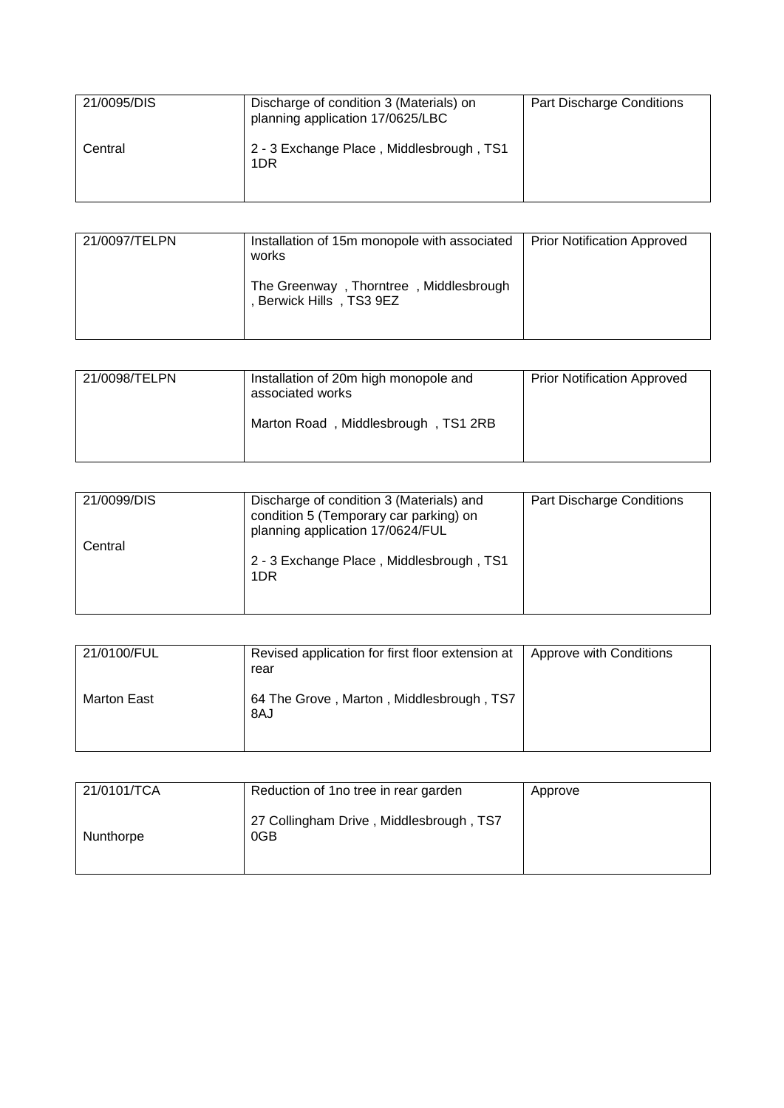| 21/0095/DIS | Discharge of condition 3 (Materials) on<br>planning application 17/0625/LBC | <b>Part Discharge Conditions</b> |
|-------------|-----------------------------------------------------------------------------|----------------------------------|
| Central     | 2 - 3 Exchange Place, Middlesbrough, TS1<br>1DR                             |                                  |

| 21/0097/TELPN | Installation of 15m monopole with associated<br>works            | <b>Prior Notification Approved</b> |
|---------------|------------------------------------------------------------------|------------------------------------|
|               | The Greenway, Thorntree, Middlesbrough<br>Berwick Hills, TS3 9EZ |                                    |

| 21/0098/TELPN | Installation of 20m high monopole and<br>associated works | <b>Prior Notification Approved</b> |
|---------------|-----------------------------------------------------------|------------------------------------|
|               | Marton Road, Middlesbrough, TS1 2RB                       |                                    |

| 21/0099/DIS | Discharge of condition 3 (Materials) and<br>condition 5 (Temporary car parking) on<br>planning application 17/0624/FUL | <b>Part Discharge Conditions</b> |
|-------------|------------------------------------------------------------------------------------------------------------------------|----------------------------------|
| Central     | 2 - 3 Exchange Place, Middlesbrough, TS1<br>1DR                                                                        |                                  |

| 21/0100/FUL | Revised application for first floor extension at<br>rear | Approve with Conditions |
|-------------|----------------------------------------------------------|-------------------------|
| Marton East | 64 The Grove, Marton, Middlesbrough, TS7<br>8AJ          |                         |

| 21/0101/TCA | Reduction of 1 no tree in rear garden          | Approve |
|-------------|------------------------------------------------|---------|
| Nunthorpe   | 27 Collingham Drive, Middlesbrough, TS7<br>0GB |         |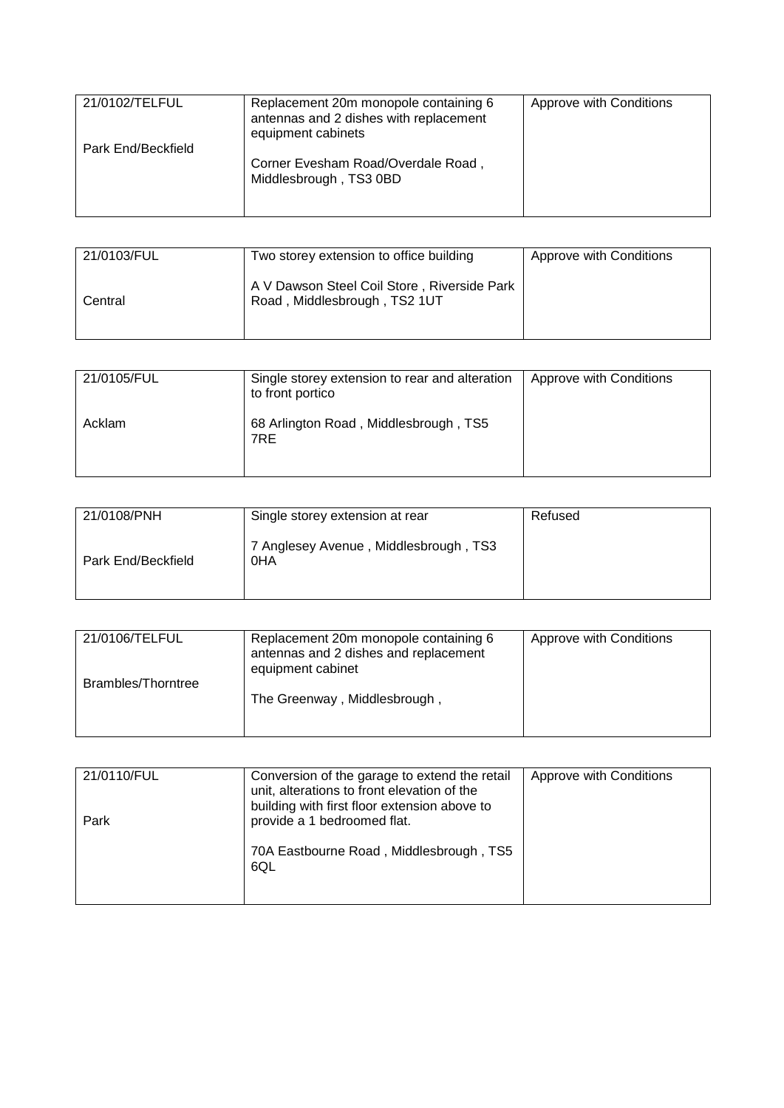| 21/0102/TELFUL     | Replacement 20m monopole containing 6<br>antennas and 2 dishes with replacement<br>equipment cabinets | Approve with Conditions |
|--------------------|-------------------------------------------------------------------------------------------------------|-------------------------|
| Park End/Beckfield | Corner Evesham Road/Overdale Road,<br>Middlesbrough, TS3 0BD                                          |                         |

| 21/0103/FUL | Two storey extension to office building                                     | Approve with Conditions |
|-------------|-----------------------------------------------------------------------------|-------------------------|
| Central     | A V Dawson Steel Coil Store, Riverside Park<br>Road, Middlesbrough, TS2 1UT |                         |

| 21/0105/FUL | Single storey extension to rear and alteration<br>to front portico | Approve with Conditions |
|-------------|--------------------------------------------------------------------|-------------------------|
| Acklam      | 68 Arlington Road, Middlesbrough, TS5<br>7RE                       |                         |

| 21/0108/PNH        | Single storey extension at rear              | Refused |
|--------------------|----------------------------------------------|---------|
| Park End/Beckfield | 7 Anglesey Avenue, Middlesbrough, TS3<br>0HA |         |

| 21/0106/TELFUL     | Replacement 20m monopole containing 6<br>antennas and 2 dishes and replacement<br>equipment cabinet | Approve with Conditions |
|--------------------|-----------------------------------------------------------------------------------------------------|-------------------------|
| Brambles/Thorntree | The Greenway, Middlesbrough,                                                                        |                         |
|                    |                                                                                                     |                         |

| 21/0110/FUL | Conversion of the garage to extend the retail<br>unit, alterations to front elevation of the<br>building with first floor extension above to | Approve with Conditions |
|-------------|----------------------------------------------------------------------------------------------------------------------------------------------|-------------------------|
| Park        | provide a 1 bedroomed flat.                                                                                                                  |                         |
|             | 70A Eastbourne Road, Middlesbrough, TS5<br>6QL                                                                                               |                         |
|             |                                                                                                                                              |                         |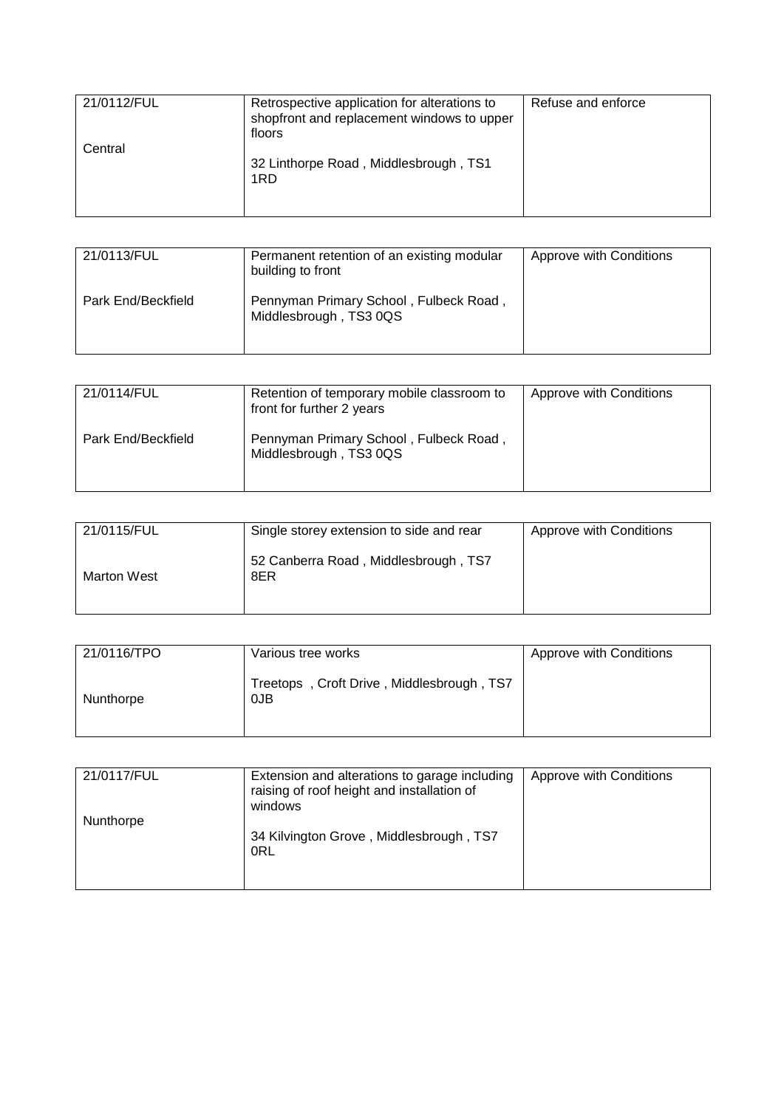| 21/0112/FUL | Retrospective application for alterations to<br>shopfront and replacement windows to upper<br>floors | Refuse and enforce |
|-------------|------------------------------------------------------------------------------------------------------|--------------------|
| Central     | 32 Linthorpe Road, Middlesbrough, TS1<br>1RD                                                         |                    |

| 21/0113/FUL        | Permanent retention of an existing modular<br>building to front  | Approve with Conditions |
|--------------------|------------------------------------------------------------------|-------------------------|
| Park End/Beckfield | Pennyman Primary School, Fulbeck Road,<br>Middlesbrough, TS3 0QS |                         |

| 21/0114/FUL        | Retention of temporary mobile classroom to<br>front for further 2 years | Approve with Conditions |
|--------------------|-------------------------------------------------------------------------|-------------------------|
| Park End/Beckfield | Pennyman Primary School, Fulbeck Road,<br>Middlesbrough, TS3 0QS        |                         |

| 21/0115/FUL | Single storey extension to side and rear    | Approve with Conditions |
|-------------|---------------------------------------------|-------------------------|
| Marton West | 52 Canberra Road, Middlesbrough, TS7<br>8ER |                         |

| 21/0116/TPO | Various tree works                               | Approve with Conditions |
|-------------|--------------------------------------------------|-------------------------|
| Nunthorpe   | Treetops, Croft Drive, Middlesbrough, TS7<br>0JB |                         |

| 21/0117/FUL | Extension and alterations to garage including<br>raising of roof height and installation of<br>windows | Approve with Conditions |
|-------------|--------------------------------------------------------------------------------------------------------|-------------------------|
| Nunthorpe   | 34 Kilvington Grove, Middlesbrough, TS7<br>0RL                                                         |                         |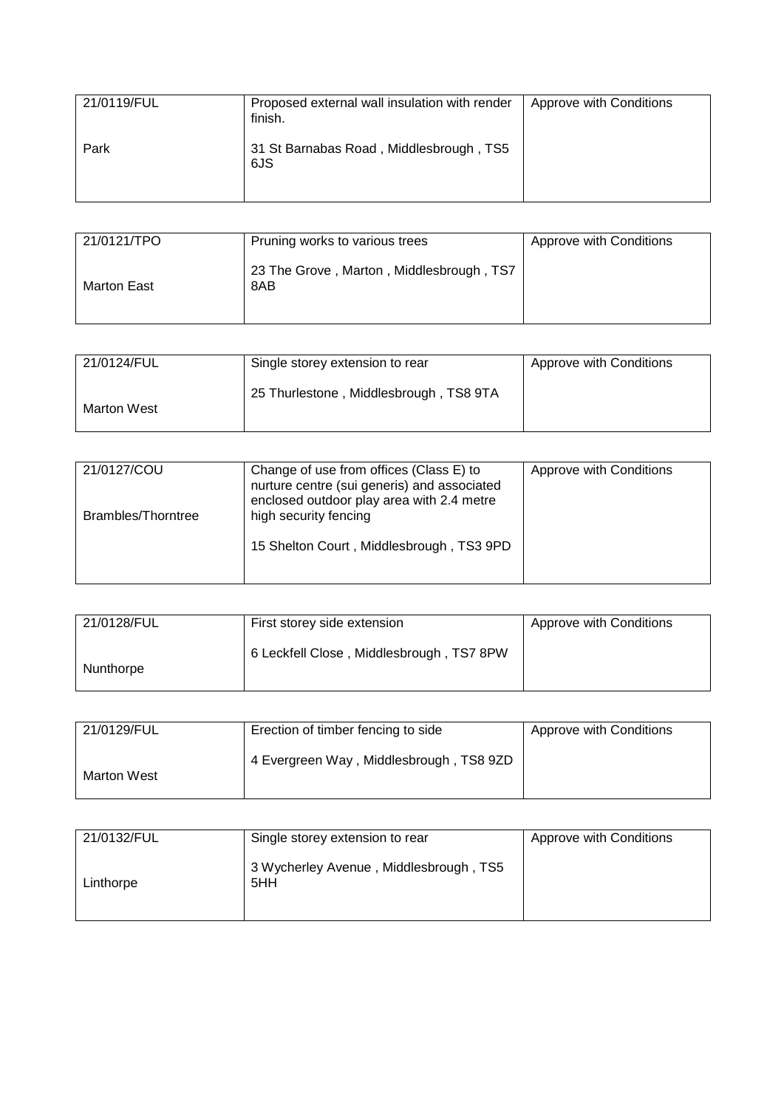| 21/0119/FUL | Proposed external wall insulation with render<br>finish. | Approve with Conditions |
|-------------|----------------------------------------------------------|-------------------------|
| Park        | 31 St Barnabas Road, Middlesbrough, TS5<br>6JS           |                         |

| 21/0121/TPO | Pruning works to various trees                  | Approve with Conditions |
|-------------|-------------------------------------------------|-------------------------|
| Marton East | 23 The Grove, Marton, Middlesbrough, TS7<br>8AB |                         |

| 21/0124/FUL | Single storey extension to rear        | Approve with Conditions |
|-------------|----------------------------------------|-------------------------|
| Marton West | 25 Thurlestone, Middlesbrough, TS8 9TA |                         |

| 21/0127/COU<br>Brambles/Thorntree | Change of use from offices (Class E) to<br>nurture centre (sui generis) and associated<br>enclosed outdoor play area with 2.4 metre<br>high security fencing | Approve with Conditions |
|-----------------------------------|--------------------------------------------------------------------------------------------------------------------------------------------------------------|-------------------------|
|                                   | 15 Shelton Court, Middlesbrough, TS3 9PD                                                                                                                     |                         |

| 21/0128/FUL | First storey side extension              | Approve with Conditions |
|-------------|------------------------------------------|-------------------------|
| Nunthorpe   | 6 Leckfell Close, Middlesbrough, TS7 8PW |                         |

| 21/0129/FUL | Erection of timber fencing to side      | Approve with Conditions |
|-------------|-----------------------------------------|-------------------------|
| Marton West | 4 Evergreen Way, Middlesbrough, TS8 9ZD |                         |

| 21/0132/FUL | Single storey extension to rear               | Approve with Conditions |
|-------------|-----------------------------------------------|-------------------------|
| Linthorpe   | 3 Wycherley Avenue, Middlesbrough, TS5<br>5HH |                         |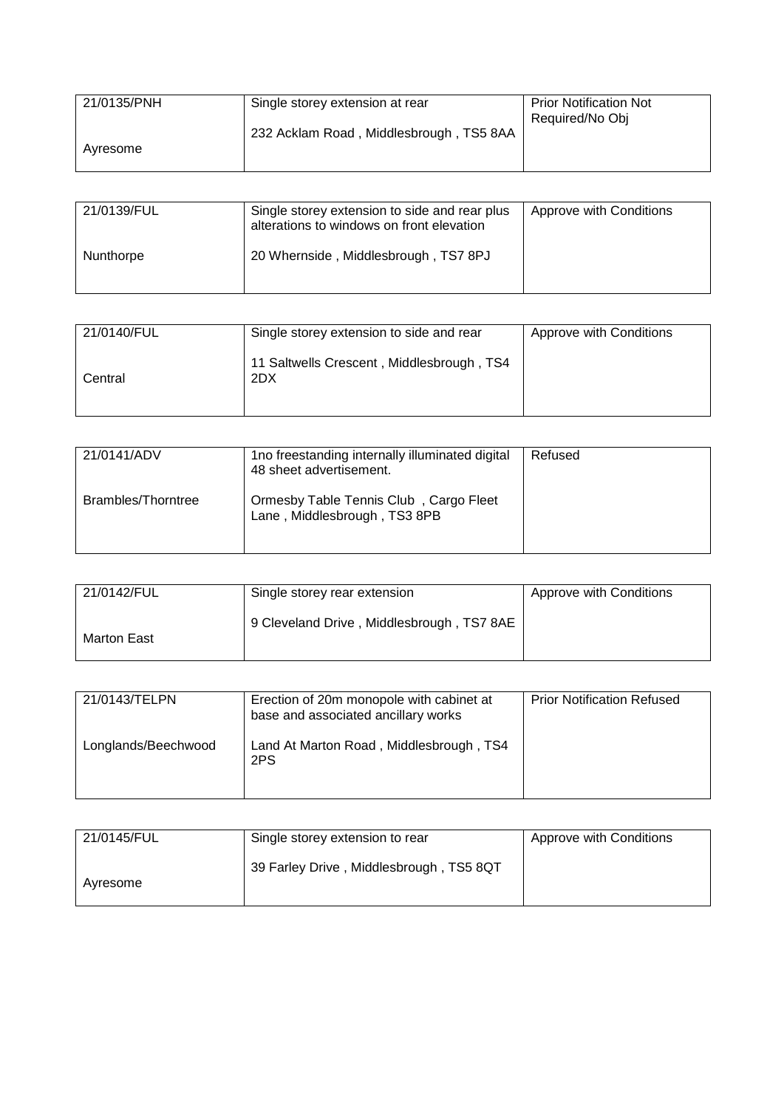| 21/0135/PNH | Single storey extension at rear         | <b>Prior Notification Not</b> |
|-------------|-----------------------------------------|-------------------------------|
|             |                                         | Required/No Obj               |
|             | 232 Acklam Road, Middlesbrough, TS5 8AA |                               |
| Avresome    |                                         |                               |
|             |                                         |                               |

| 21/0139/FUL | Single storey extension to side and rear plus<br>alterations to windows on front elevation | Approve with Conditions |
|-------------|--------------------------------------------------------------------------------------------|-------------------------|
| Nunthorpe   | 20 Whernside, Middlesbrough, TS7 8PJ                                                       |                         |

| 21/0140/FUL | Single storey extension to side and rear         | Approve with Conditions |
|-------------|--------------------------------------------------|-------------------------|
| Central     | 11 Saltwells Crescent, Middlesbrough, TS4<br>2DX |                         |

| 21/0141/ADV        | 1no freestanding internally illuminated digital<br>48 sheet advertisement. | Refused |
|--------------------|----------------------------------------------------------------------------|---------|
| Brambles/Thorntree | Ormesby Table Tennis Club, Cargo Fleet<br>Lane, Middlesbrough, TS3 8PB     |         |

| 21/0142/FUL | Single storey rear extension              | Approve with Conditions |
|-------------|-------------------------------------------|-------------------------|
| Marton East | 9 Cleveland Drive, Middlesbrough, TS7 8AE |                         |

| 21/0143/TELPN       | Erection of 20m monopole with cabinet at<br>base and associated ancillary works | <b>Prior Notification Refused</b> |
|---------------------|---------------------------------------------------------------------------------|-----------------------------------|
| Longlands/Beechwood | Land At Marton Road, Middlesbrough, TS4<br>2PS                                  |                                   |

| 21/0145/FUL | Single storey extension to rear         | Approve with Conditions |
|-------------|-----------------------------------------|-------------------------|
| Avresome    | 39 Farley Drive, Middlesbrough, TS5 8QT |                         |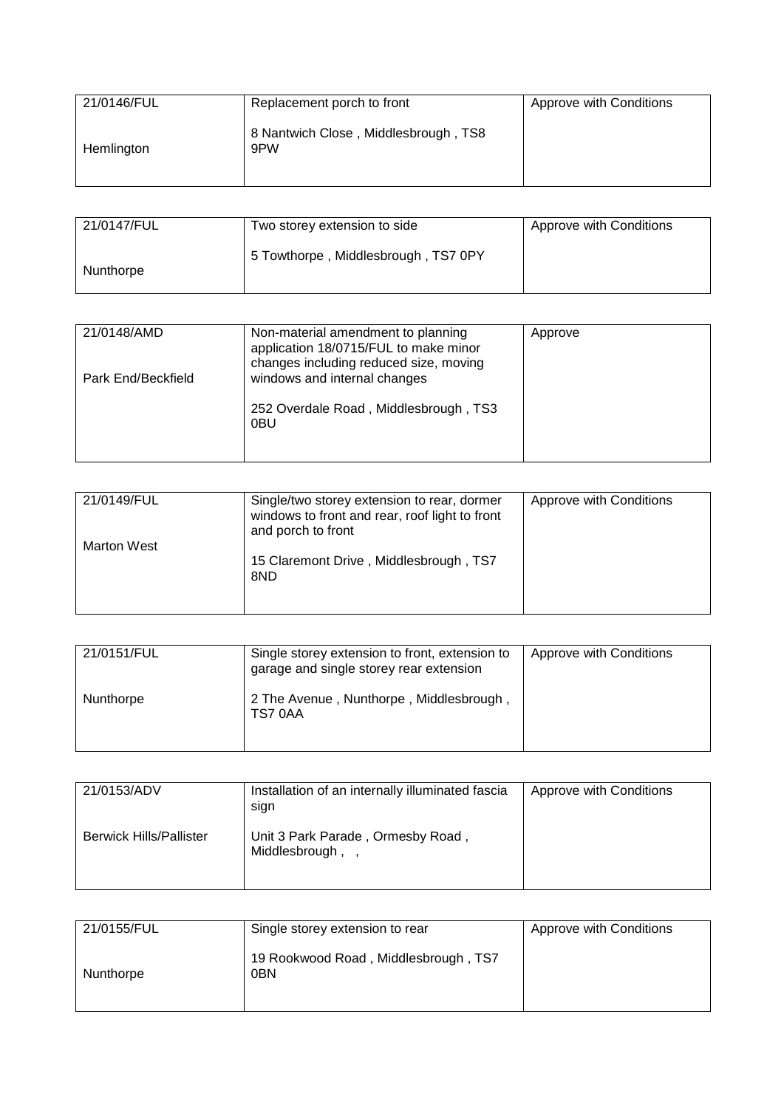| 21/0146/FUL | Replacement porch to front                  | Approve with Conditions |
|-------------|---------------------------------------------|-------------------------|
| Hemlington  | 8 Nantwich Close, Middlesbrough, TS8<br>9PW |                         |

| 21/0147/FUL | Two storey extension to side        | Approve with Conditions |
|-------------|-------------------------------------|-------------------------|
| Nunthorpe   | 5 Towthorpe, Middlesbrough, TS7 0PY |                         |

| 21/0148/AMD        | Non-material amendment to planning<br>application 18/0715/FUL to make minor<br>changes including reduced size, moving | Approve |
|--------------------|-----------------------------------------------------------------------------------------------------------------------|---------|
| Park End/Beckfield | windows and internal changes                                                                                          |         |
|                    | 252 Overdale Road, Middlesbrough, TS3<br>0BU                                                                          |         |

| 21/0149/FUL | Single/two storey extension to rear, dormer<br>windows to front and rear, roof light to front<br>and porch to front | Approve with Conditions |
|-------------|---------------------------------------------------------------------------------------------------------------------|-------------------------|
| Marton West | 15 Claremont Drive, Middlesbrough, TS7<br>8ND                                                                       |                         |

| 21/0151/FUL | Single storey extension to front, extension to<br>garage and single storey rear extension | Approve with Conditions |
|-------------|-------------------------------------------------------------------------------------------|-------------------------|
| Nunthorpe   | 2 The Avenue, Nunthorpe, Middlesbrough,<br>TS70AA                                         |                         |

| 21/0153/ADV                    | Installation of an internally illuminated fascia<br>sign | Approve with Conditions |
|--------------------------------|----------------------------------------------------------|-------------------------|
| <b>Berwick Hills/Pallister</b> | Unit 3 Park Parade, Ormesby Road,<br>Middlesbrough,      |                         |

| 21/0155/FUL | Single storey extension to rear                         | Approve with Conditions |
|-------------|---------------------------------------------------------|-------------------------|
| Nunthorpe   | 19 Rookwood Road, Middlesbrough, TS7<br>0 <sub>BN</sub> |                         |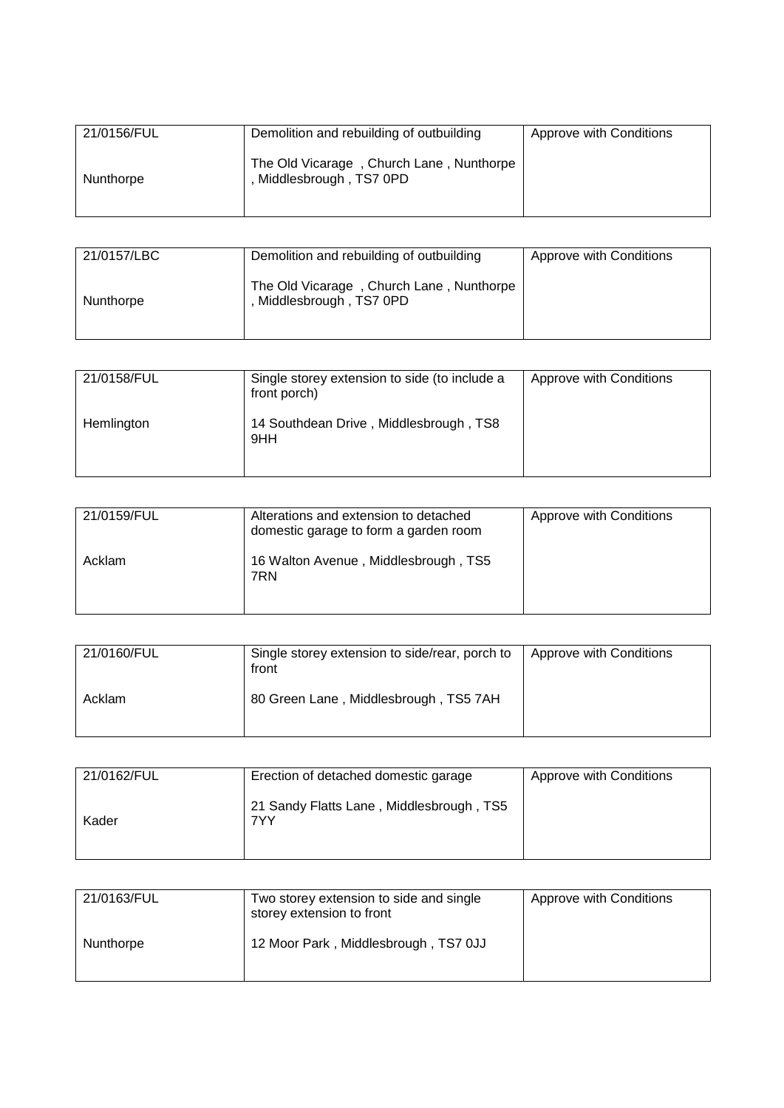| 21/0156/FUL | Demolition and rebuilding of outbuilding                           | Approve with Conditions |
|-------------|--------------------------------------------------------------------|-------------------------|
| Nunthorpe   | The Old Vicarage, Church Lane, Nunthorpe<br>Middlesbrough, TS7 0PD |                         |

| 21/0157/LBC | Demolition and rebuilding of outbuilding                           | Approve with Conditions |
|-------------|--------------------------------------------------------------------|-------------------------|
| Nunthorpe   | The Old Vicarage, Church Lane, Nunthorpe<br>Middlesbrough, TS7 0PD |                         |

| 21/0158/FUL | Single storey extension to side (to include a<br>front porch) | Approve with Conditions |
|-------------|---------------------------------------------------------------|-------------------------|
| Hemlington  | 14 Southdean Drive, Middlesbrough, TS8<br>9HH                 |                         |

| 21/0159/FUL | Alterations and extension to detached<br>domestic garage to form a garden room | Approve with Conditions |
|-------------|--------------------------------------------------------------------------------|-------------------------|
| Acklam      | 16 Walton Avenue, Middlesbrough, TS5<br>7RN                                    |                         |

| 21/0160/FUL | Single storey extension to side/rear, porch to<br>front | Approve with Conditions |
|-------------|---------------------------------------------------------|-------------------------|
| Acklam      | 80 Green Lane, Middlesbrough, TS5 7AH                   |                         |

| 21/0162/FUL | Erection of detached domestic garage            | Approve with Conditions |
|-------------|-------------------------------------------------|-------------------------|
| Kader       | 21 Sandy Flatts Lane, Middlesbrough, TS5<br>7YY |                         |

| 21/0163/FUL | Two storey extension to side and single<br>storey extension to front | Approve with Conditions |
|-------------|----------------------------------------------------------------------|-------------------------|
| Nunthorpe   | 12 Moor Park, Middlesbrough, TS7 0JJ                                 |                         |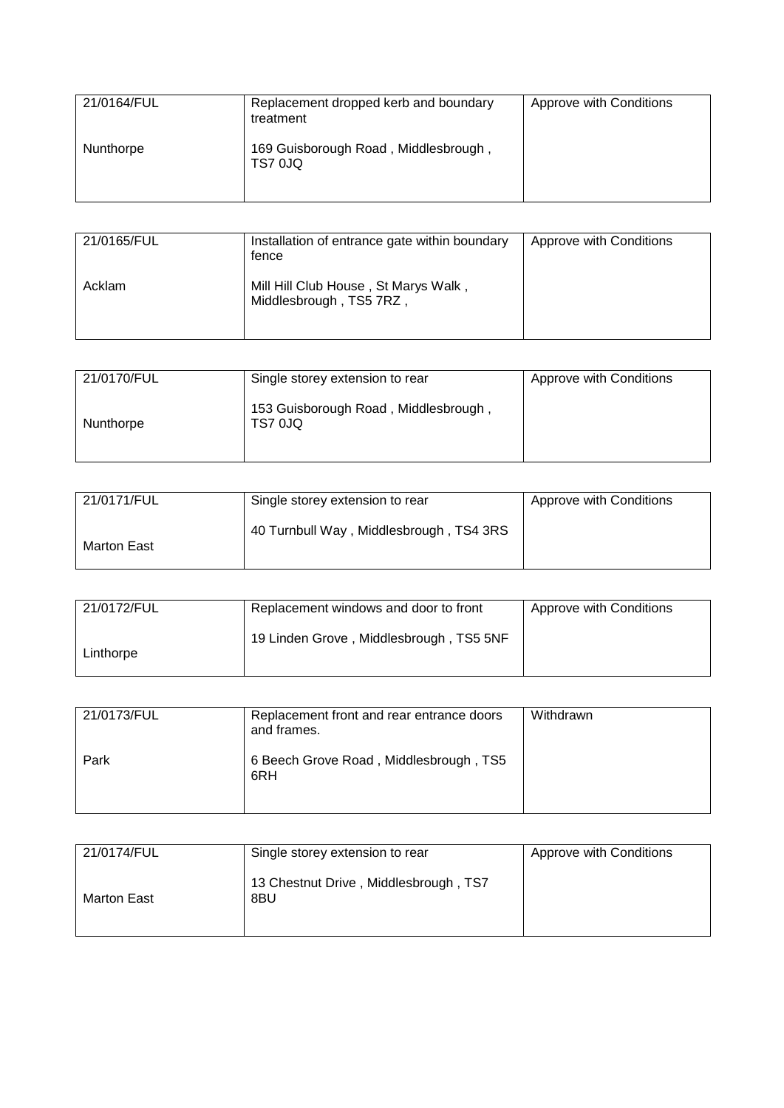| 21/0164/FUL | Replacement dropped kerb and boundary<br>treatment | Approve with Conditions |
|-------------|----------------------------------------------------|-------------------------|
| Nunthorpe   | 169 Guisborough Road, Middlesbrough,<br>TS7 0JQ    |                         |

| 21/0165/FUL | Installation of entrance gate within boundary<br>tence          | Approve with Conditions |
|-------------|-----------------------------------------------------------------|-------------------------|
| Acklam      | Mill Hill Club House, St Marys Walk,<br>Middlesbrough, TS5 7RZ, |                         |

| 21/0170/FUL | Single storey extension to rear                        | Approve with Conditions |
|-------------|--------------------------------------------------------|-------------------------|
| Nunthorpe   | 153 Guisborough Road, Middlesbrough,<br><b>TS7 0JQ</b> |                         |

| 21/0171/FUL | Single storey extension to rear         | Approve with Conditions |
|-------------|-----------------------------------------|-------------------------|
| Marton East | 40 Turnbull Way, Middlesbrough, TS4 3RS |                         |

| 21/0172/FUL | Replacement windows and door to front   | Approve with Conditions |
|-------------|-----------------------------------------|-------------------------|
| Linthorpe   | 19 Linden Grove, Middlesbrough, TS5 5NF |                         |

| 21/0173/FUL | Replacement front and rear entrance doors<br>and frames. | Withdrawn |
|-------------|----------------------------------------------------------|-----------|
| Park        | 6 Beech Grove Road, Middlesbrough, TS5<br>6RH            |           |

| 21/0174/FUL | Single storey extension to rear              | Approve with Conditions |
|-------------|----------------------------------------------|-------------------------|
| Marton East | 13 Chestnut Drive, Middlesbrough, TS7<br>8BU |                         |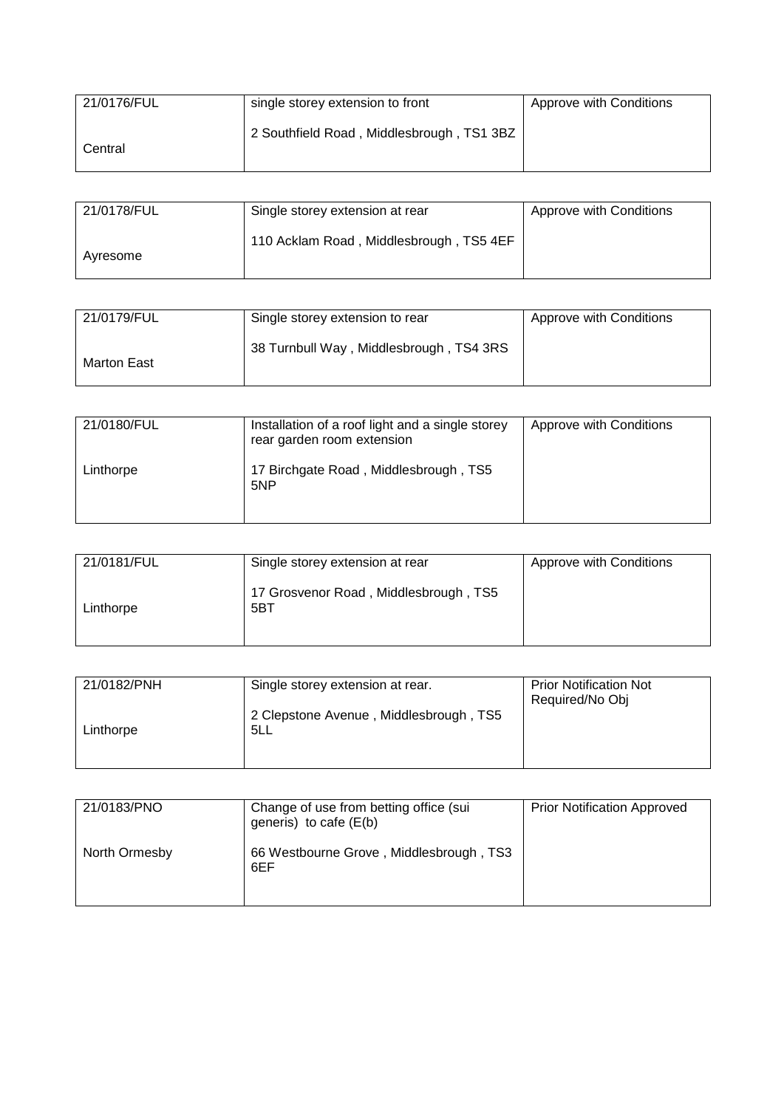| 21/0176/FUL | single storey extension to front          | Approve with Conditions |
|-------------|-------------------------------------------|-------------------------|
| Central     | 2 Southfield Road, Middlesbrough, TS1 3BZ |                         |

| 21/0178/FUL | Single storey extension at rear         | <b>Approve with Conditions</b> |
|-------------|-----------------------------------------|--------------------------------|
| Ayresome    | 110 Acklam Road, Middlesbrough, TS5 4EF |                                |

| 21/0179/FUL | Single storey extension to rear         | Approve with Conditions |
|-------------|-----------------------------------------|-------------------------|
| Marton East | 38 Turnbull Way, Middlesbrough, TS4 3RS |                         |

| 21/0180/FUL | Installation of a roof light and a single storey<br>rear garden room extension | Approve with Conditions |
|-------------|--------------------------------------------------------------------------------|-------------------------|
| Linthorpe   | 17 Birchgate Road, Middlesbrough, TS5<br>5NP                                   |                         |

| 21/0181/FUL | Single storey extension at rear              | Approve with Conditions |
|-------------|----------------------------------------------|-------------------------|
| Linthorpe   | 17 Grosvenor Road, Middlesbrough, TS5<br>5BT |                         |

| 21/0182/PNH | Single storey extension at rear.              | <b>Prior Notification Not</b><br>Required/No Obj |
|-------------|-----------------------------------------------|--------------------------------------------------|
| Linthorpe   | 2 Clepstone Avenue, Middlesbrough, TS5<br>5LL |                                                  |
|             |                                               |                                                  |

| 21/0183/PNO   | Change of use from betting office (sui<br>generis) to cafe $(E(b))$ | <b>Prior Notification Approved</b> |
|---------------|---------------------------------------------------------------------|------------------------------------|
| North Ormesby | 66 Westbourne Grove, Middlesbrough, TS3<br>6EF                      |                                    |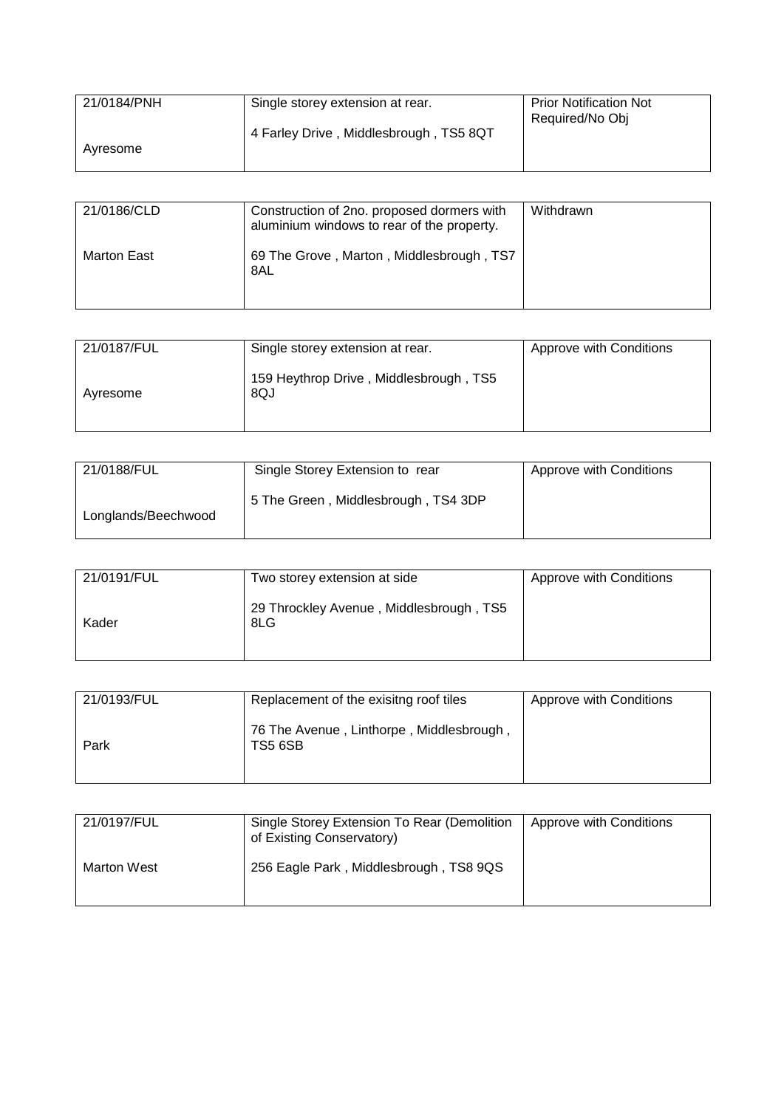| 21/0184/PNH | Single storey extension at rear.       | <b>Prior Notification Not</b> |
|-------------|----------------------------------------|-------------------------------|
|             |                                        | Required/No Obj               |
|             | 4 Farley Drive, Middlesbrough, TS5 8QT |                               |
| Ayresome    |                                        |                               |
|             |                                        |                               |

| 21/0186/CLD | Construction of 2no. proposed dormers with<br>aluminium windows to rear of the property. | Withdrawn |
|-------------|------------------------------------------------------------------------------------------|-----------|
| Marton East | 69 The Grove, Marton, Middlesbrough, TS7<br>8AL                                          |           |

| 21/0187/FUL | Single storey extension at rear.              | Approve with Conditions |
|-------------|-----------------------------------------------|-------------------------|
| Avresome    | 159 Heythrop Drive, Middlesbrough, TS5<br>8QJ |                         |

| 21/0188/FUL         | Single Storey Extension to rear     | Approve with Conditions |
|---------------------|-------------------------------------|-------------------------|
| Longlands/Beechwood | 5 The Green, Middlesbrough, TS4 3DP |                         |

| 21/0191/FUL | Two storey extension at side                   | Approve with Conditions |
|-------------|------------------------------------------------|-------------------------|
| Kader       | 29 Throckley Avenue, Middlesbrough, TS5<br>8LG |                         |

| 21/0193/FUL | Replacement of the exisitng roof tiles                     | Approve with Conditions |
|-------------|------------------------------------------------------------|-------------------------|
| Park        | 76 The Avenue, Linthorpe, Middlesbrough,<br><b>TS5 6SB</b> |                         |

| 21/0197/FUL | Single Storey Extension To Rear (Demolition<br>of Existing Conservatory) | <b>Approve with Conditions</b> |
|-------------|--------------------------------------------------------------------------|--------------------------------|
| Marton West | 256 Eagle Park, Middlesbrough, TS8 9QS                                   |                                |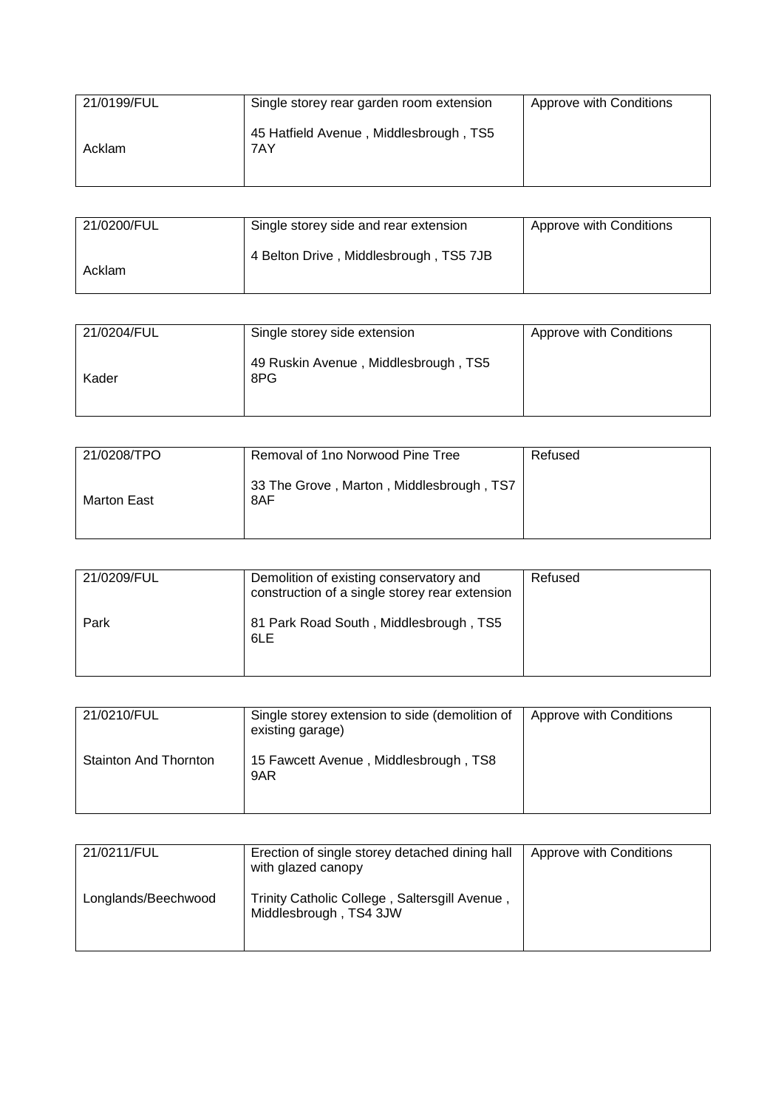| 21/0199/FUL | Single storey rear garden room extension      | Approve with Conditions |
|-------------|-----------------------------------------------|-------------------------|
| Acklam      | 45 Hatfield Avenue, Middlesbrough, TS5<br>7AY |                         |

| 21/0200/FUL | Single storey side and rear extension  | Approve with Conditions |
|-------------|----------------------------------------|-------------------------|
| Acklam      | 4 Belton Drive, Middlesbrough, TS5 7JB |                         |

| 21/0204/FUL | Single storey side extension                | Approve with Conditions |
|-------------|---------------------------------------------|-------------------------|
| Kader       | 49 Ruskin Avenue, Middlesbrough, TS5<br>8PG |                         |

| 21/0208/TPO | Removal of 1no Norwood Pine Tree                | Refused |
|-------------|-------------------------------------------------|---------|
| Marton East | 33 The Grove, Marton, Middlesbrough, TS7<br>8AF |         |

| 21/0209/FUL | Demolition of existing conservatory and<br>construction of a single storey rear extension | Refused |
|-------------|-------------------------------------------------------------------------------------------|---------|
| Park        | 81 Park Road South, Middlesbrough, TS5<br>6LE                                             |         |

| 21/0210/FUL                  | Single storey extension to side (demolition of<br>existing garage) | Approve with Conditions |
|------------------------------|--------------------------------------------------------------------|-------------------------|
| <b>Stainton And Thornton</b> | 15 Fawcett Avenue, Middlesbrough, TS8<br>9AR                       |                         |

| 21/0211/FUL         | Erection of single storey detached dining hall<br>with glazed canopy    | Approve with Conditions |
|---------------------|-------------------------------------------------------------------------|-------------------------|
| Longlands/Beechwood | Trinity Catholic College, Saltersgill Avenue,<br>Middlesbrough, TS4 3JW |                         |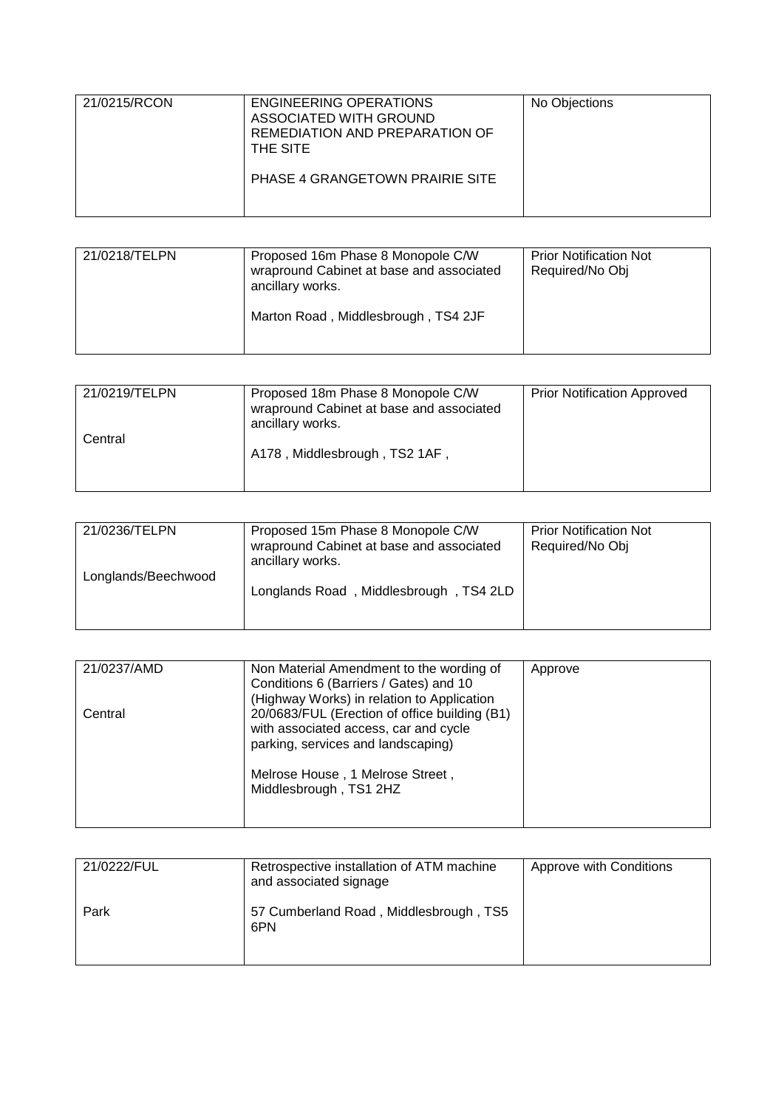| 21/0215/RCON | ENGINEERING OPERATIONS<br>ASSOCIATED WITH GROUND<br>REMEDIATION AND PREPARATION OF<br>THE SITE | No Objections |
|--------------|------------------------------------------------------------------------------------------------|---------------|
|              | PHASE 4 GRANGETOWN PRAIRIE SITE                                                                |               |

| 21/0218/TELPN | Proposed 16m Phase 8 Monopole C/W<br>wrapround Cabinet at base and associated<br>ancillary works.<br>Marton Road, Middlesbrough, TS4 2JF | <b>Prior Notification Not</b><br>Required/No Obj |
|---------------|------------------------------------------------------------------------------------------------------------------------------------------|--------------------------------------------------|
|               |                                                                                                                                          |                                                  |

| 21/0219/TELPN | Proposed 18m Phase 8 Monopole C/W<br>wrapround Cabinet at base and associated<br>ancillary works. | <b>Prior Notification Approved</b> |
|---------------|---------------------------------------------------------------------------------------------------|------------------------------------|
| Central       | A178, Middlesbrough, TS2 1AF,                                                                     |                                    |

| 21/0236/TELPN       | Proposed 15m Phase 8 Monopole C/W<br>wrapround Cabinet at base and associated<br>ancillary works. | <b>Prior Notification Not</b><br>Required/No Obj |
|---------------------|---------------------------------------------------------------------------------------------------|--------------------------------------------------|
| Longlands/Beechwood | Longlands Road, Middlesbrough, TS4 2LD                                                            |                                                  |

| 21/0237/AMD | Non Material Amendment to the wording of<br>Conditions 6 (Barriers / Gates) and 10<br>(Highway Works) in relation to Application                                                           | Approve |
|-------------|--------------------------------------------------------------------------------------------------------------------------------------------------------------------------------------------|---------|
| Central     | 20/0683/FUL (Erection of office building (B1)<br>with associated access, car and cycle<br>parking, services and landscaping)<br>Melrose House, 1 Melrose Street,<br>Middlesbrough, TS1 2HZ |         |

| 21/0222/FUL | Retrospective installation of ATM machine<br>and associated signage | Approve with Conditions |
|-------------|---------------------------------------------------------------------|-------------------------|
| Park        | 57 Cumberland Road, Middlesbrough, TS5<br>6PN                       |                         |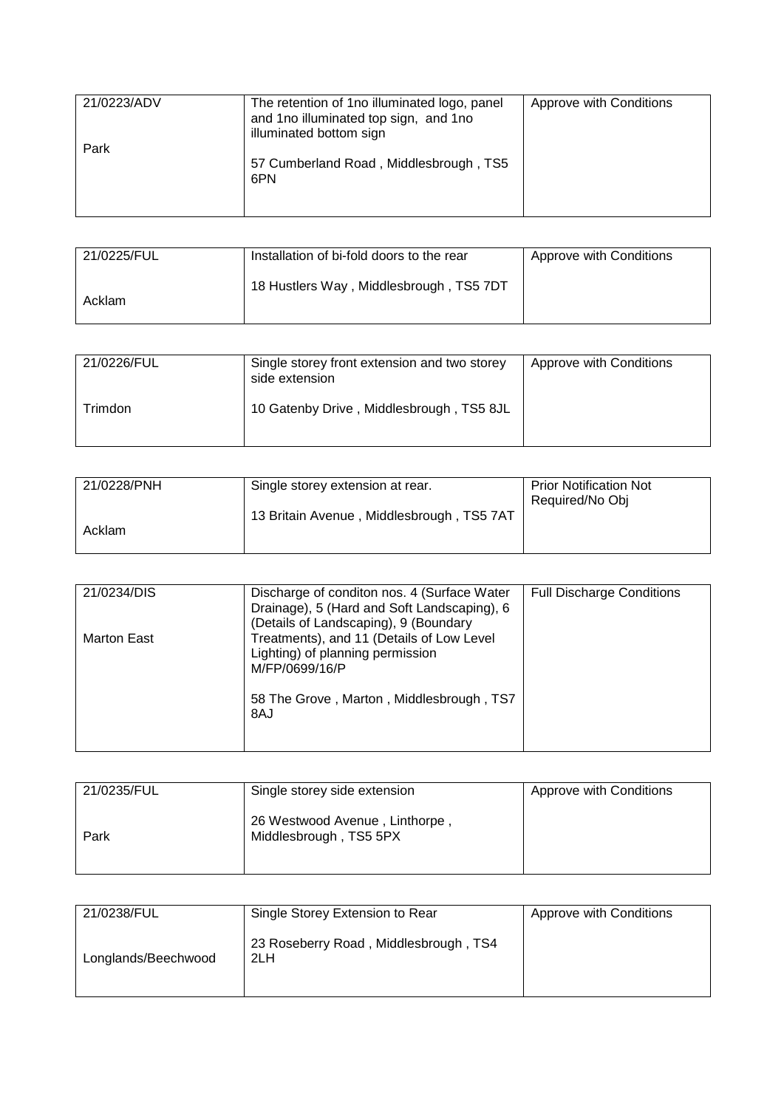| 21/0223/ADV | The retention of 1 no illuminated logo, panel<br>and 1no illuminated top sign, and 1no<br>illuminated bottom sign | Approve with Conditions |
|-------------|-------------------------------------------------------------------------------------------------------------------|-------------------------|
| Park        | 57 Cumberland Road, Middlesbrough, TS5<br>6PN                                                                     |                         |

| 21/0225/FUL | Installation of bi-fold doors to the rear | Approve with Conditions |
|-------------|-------------------------------------------|-------------------------|
| Acklam      | 18 Hustlers Way, Middlesbrough, TS5 7DT   |                         |

| 21/0226/FUL | Single storey front extension and two storey<br>side extension | Approve with Conditions |
|-------------|----------------------------------------------------------------|-------------------------|
| Trimdon     | 10 Gatenby Drive, Middlesbrough, TS5 8JL                       |                         |

| 21/0228/PNH | Single storey extension at rear.          | <b>Prior Notification Not</b><br>Required/No Obj |
|-------------|-------------------------------------------|--------------------------------------------------|
| Acklam      | 13 Britain Avenue, Middlesbrough, TS5 7AT |                                                  |

| 21/0234/DIS | Discharge of conditon nos. 4 (Surface Water<br>Drainage), 5 (Hard and Soft Landscaping), 6<br>(Details of Landscaping), 9 (Boundary                | <b>Full Discharge Conditions</b> |
|-------------|----------------------------------------------------------------------------------------------------------------------------------------------------|----------------------------------|
| Marton East | Treatments), and 11 (Details of Low Level<br>Lighting) of planning permission<br>M/FP/0699/16/P<br>58 The Grove, Marton, Middlesbrough, TS7<br>8AJ |                                  |

| 21/0235/FUL | Single storey side extension                             | Approve with Conditions |
|-------------|----------------------------------------------------------|-------------------------|
| Park        | 26 Westwood Avenue, Linthorpe,<br>Middlesbrough, TS5 5PX |                         |

| 21/0238/FUL         | Single Storey Extension to Rear              | Approve with Conditions |
|---------------------|----------------------------------------------|-------------------------|
| Longlands/Beechwood | 23 Roseberry Road, Middlesbrough, TS4<br>2LH |                         |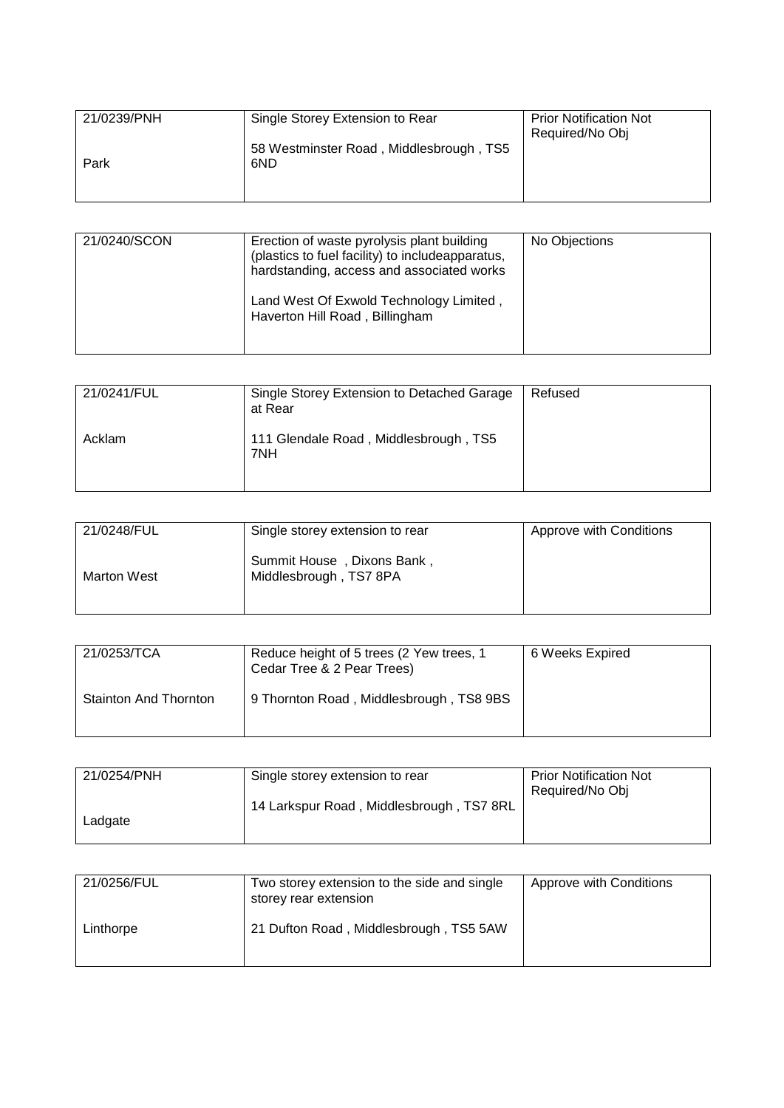| 21/0239/PNH | Single Storey Extension to Rear                | <b>Prior Notification Not</b><br>Required/No Obj |
|-------------|------------------------------------------------|--------------------------------------------------|
| Park        | 58 Westminster Road, Middlesbrough, TS5<br>6ND |                                                  |
|             |                                                |                                                  |

| 21/0240/SCON | Erection of waste pyrolysis plant building<br>(plastics to fuel facility) to includeapparatus,<br>hardstanding, access and associated works<br>Land West Of Exwold Technology Limited,<br>Haverton Hill Road, Billingham | No Objections |
|--------------|--------------------------------------------------------------------------------------------------------------------------------------------------------------------------------------------------------------------------|---------------|
|--------------|--------------------------------------------------------------------------------------------------------------------------------------------------------------------------------------------------------------------------|---------------|

| 21/0241/FUL | Single Storey Extension to Detached Garage<br>at Rear | Refused |
|-------------|-------------------------------------------------------|---------|
| Acklam      | 111 Glendale Road, Middlesbrough, TS5<br>7NH          |         |

| 21/0248/FUL        | Single storey extension to rear                      | Approve with Conditions |
|--------------------|------------------------------------------------------|-------------------------|
| <b>Marton West</b> | Summit House, Dixons Bank,<br>Middlesbrough, TS7 8PA |                         |

| 21/0253/TCA                  | Reduce height of 5 trees (2 Yew trees, 1<br>Cedar Tree & 2 Pear Trees) | 6 Weeks Expired |
|------------------------------|------------------------------------------------------------------------|-----------------|
| <b>Stainton And Thornton</b> | 9 Thornton Road, Middlesbrough, TS8 9BS                                |                 |

| 21/0254/PNH | Single storey extension to rear          | <b>Prior Notification Not</b> |
|-------------|------------------------------------------|-------------------------------|
|             |                                          | Required/No Obj               |
|             | 14 Larkspur Road, Middlesbrough, TS7 8RL |                               |
| Ladgate     |                                          |                               |
|             |                                          |                               |

| 21/0256/FUL | Two storey extension to the side and single<br>storey rear extension | Approve with Conditions |
|-------------|----------------------------------------------------------------------|-------------------------|
| Linthorpe   | 21 Dufton Road, Middlesbrough, TS5 5AW                               |                         |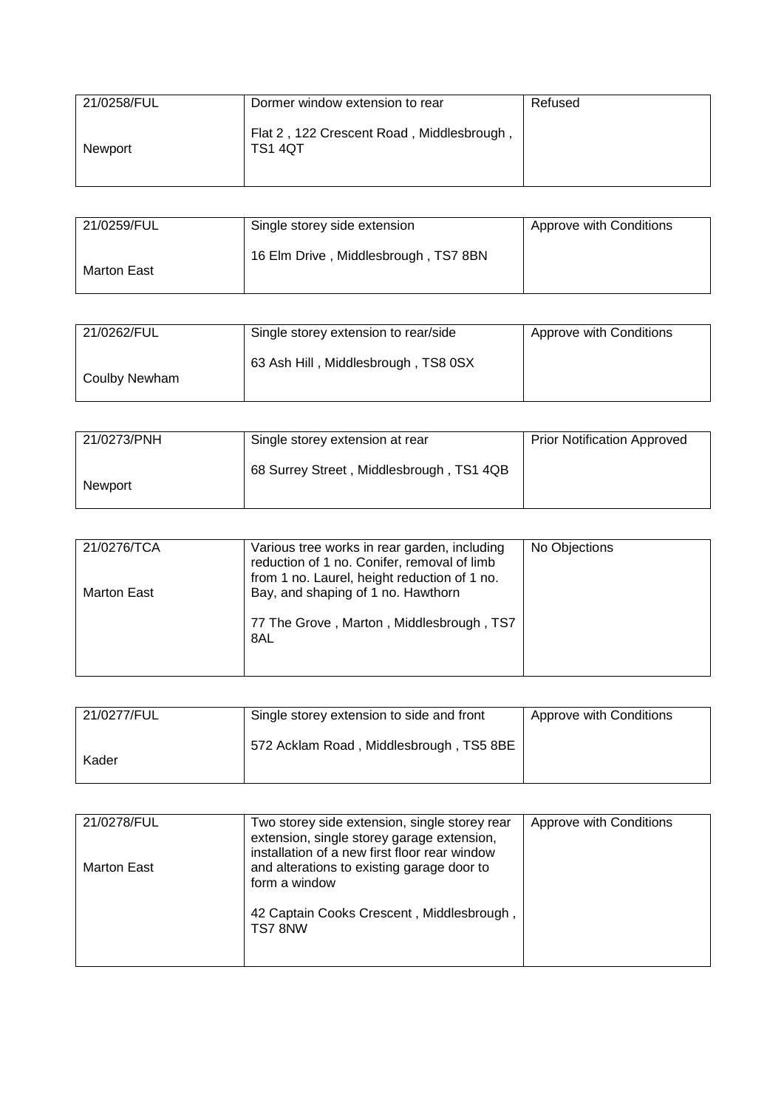| 21/0258/FUL | Dormer window extension to rear                             | Refused |
|-------------|-------------------------------------------------------------|---------|
| Newport     | Flat 2, 122 Crescent Road, Middlesbrough,<br><b>TS1 4QT</b> |         |

| 21/0259/FUL | Single storey side extension         | Approve with Conditions |
|-------------|--------------------------------------|-------------------------|
| Marton East | 16 Elm Drive, Middlesbrough, TS7 8BN |                         |

| 21/0262/FUL   | Single storey extension to rear/side | Approve with Conditions |
|---------------|--------------------------------------|-------------------------|
| Coulby Newham | 63 Ash Hill, Middlesbrough, TS8 0SX  |                         |

| 21/0273/PNH | Single storey extension at rear          | <b>Prior Notification Approved</b> |
|-------------|------------------------------------------|------------------------------------|
| Newport     | 68 Surrey Street, Middlesbrough, TS1 4QB |                                    |

| 21/0276/TCA | Various tree works in rear garden, including<br>reduction of 1 no. Conifer, removal of limb<br>from 1 no. Laurel, height reduction of 1 no. | No Objections |
|-------------|---------------------------------------------------------------------------------------------------------------------------------------------|---------------|
| Marton East | Bay, and shaping of 1 no. Hawthorn<br>77 The Grove, Marton, Middlesbrough, TS7<br>8AL                                                       |               |

| 21/0277/FUL | Single storey extension to side and front | Approve with Conditions |
|-------------|-------------------------------------------|-------------------------|
| Kader       | 572 Acklam Road, Middlesbrough, TS5 8BE   |                         |

| 21/0278/FUL | Two storey side extension, single storey rear<br>extension, single storey garage extension,<br>installation of a new first floor rear window | Approve with Conditions |
|-------------|----------------------------------------------------------------------------------------------------------------------------------------------|-------------------------|
| Marton East | and alterations to existing garage door to<br>form a window                                                                                  |                         |
|             | 42 Captain Cooks Crescent, Middlesbrough,<br>TS78NW                                                                                          |                         |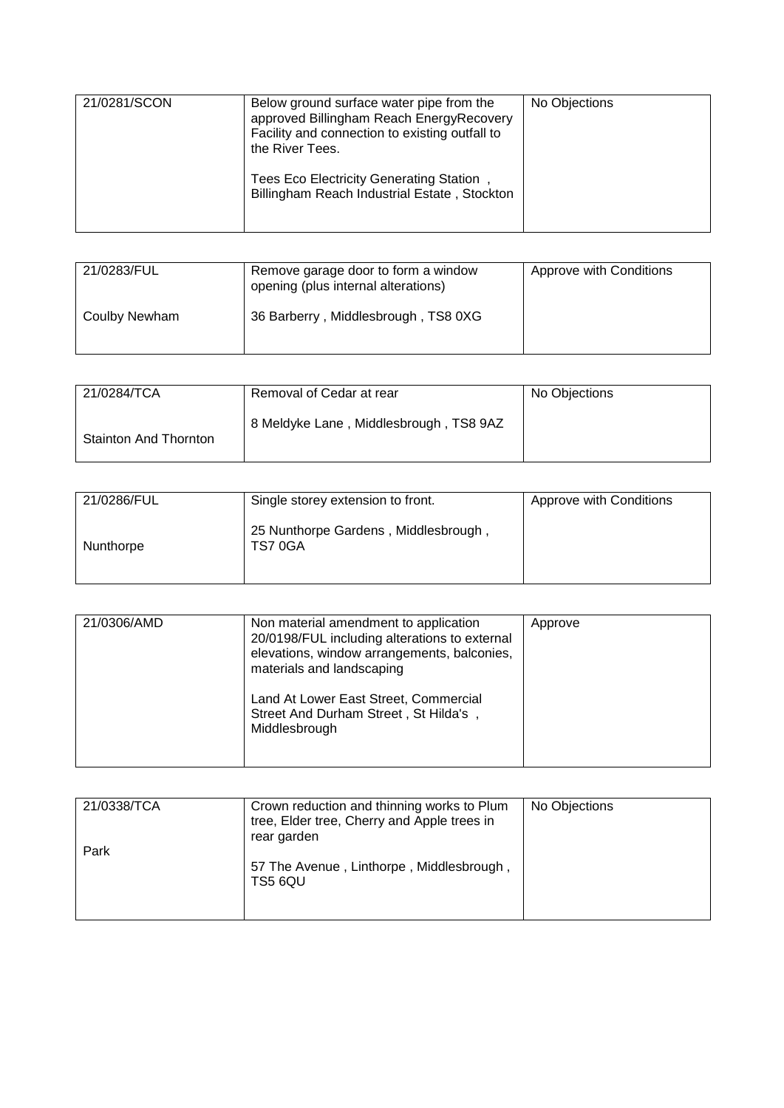| 21/0281/SCON | Below ground surface water pipe from the<br>approved Billingham Reach EnergyRecovery<br>Facility and connection to existing outfall to<br>the River Tees.<br>Tees Eco Electricity Generating Station,<br>Billingham Reach Industrial Estate, Stockton | No Objections |
|--------------|-------------------------------------------------------------------------------------------------------------------------------------------------------------------------------------------------------------------------------------------------------|---------------|
|              |                                                                                                                                                                                                                                                       |               |

| 21/0283/FUL   | Remove garage door to form a window<br>opening (plus internal alterations) | Approve with Conditions |
|---------------|----------------------------------------------------------------------------|-------------------------|
| Coulby Newham | 36 Barberry, Middlesbrough, TS8 0XG                                        |                         |

| 21/0284/TCA                  | Removal of Cedar at rear               | No Objections |
|------------------------------|----------------------------------------|---------------|
| <b>Stainton And Thornton</b> | 8 Meldyke Lane, Middlesbrough, TS8 9AZ |               |

| 21/0286/FUL | Single storey extension to front.              | Approve with Conditions |
|-------------|------------------------------------------------|-------------------------|
| Nunthorpe   | 25 Nunthorpe Gardens, Middlesbrough,<br>TS70GA |                         |

| 21/0306/AMD | Non material amendment to application<br>20/0198/FUL including alterations to external<br>elevations, window arrangements, balconies,<br>materials and landscaping | Approve |
|-------------|--------------------------------------------------------------------------------------------------------------------------------------------------------------------|---------|
|             | Land At Lower East Street, Commercial<br>Street And Durham Street, St Hilda's,<br>Middlesbrough                                                                    |         |

| 21/0338/TCA | Crown reduction and thinning works to Plum<br>tree, Elder tree, Cherry and Apple trees in<br>rear garden | No Objections |
|-------------|----------------------------------------------------------------------------------------------------------|---------------|
| Park        | 57 The Avenue, Linthorpe, Middlesbrough,<br>TS5 6QU                                                      |               |